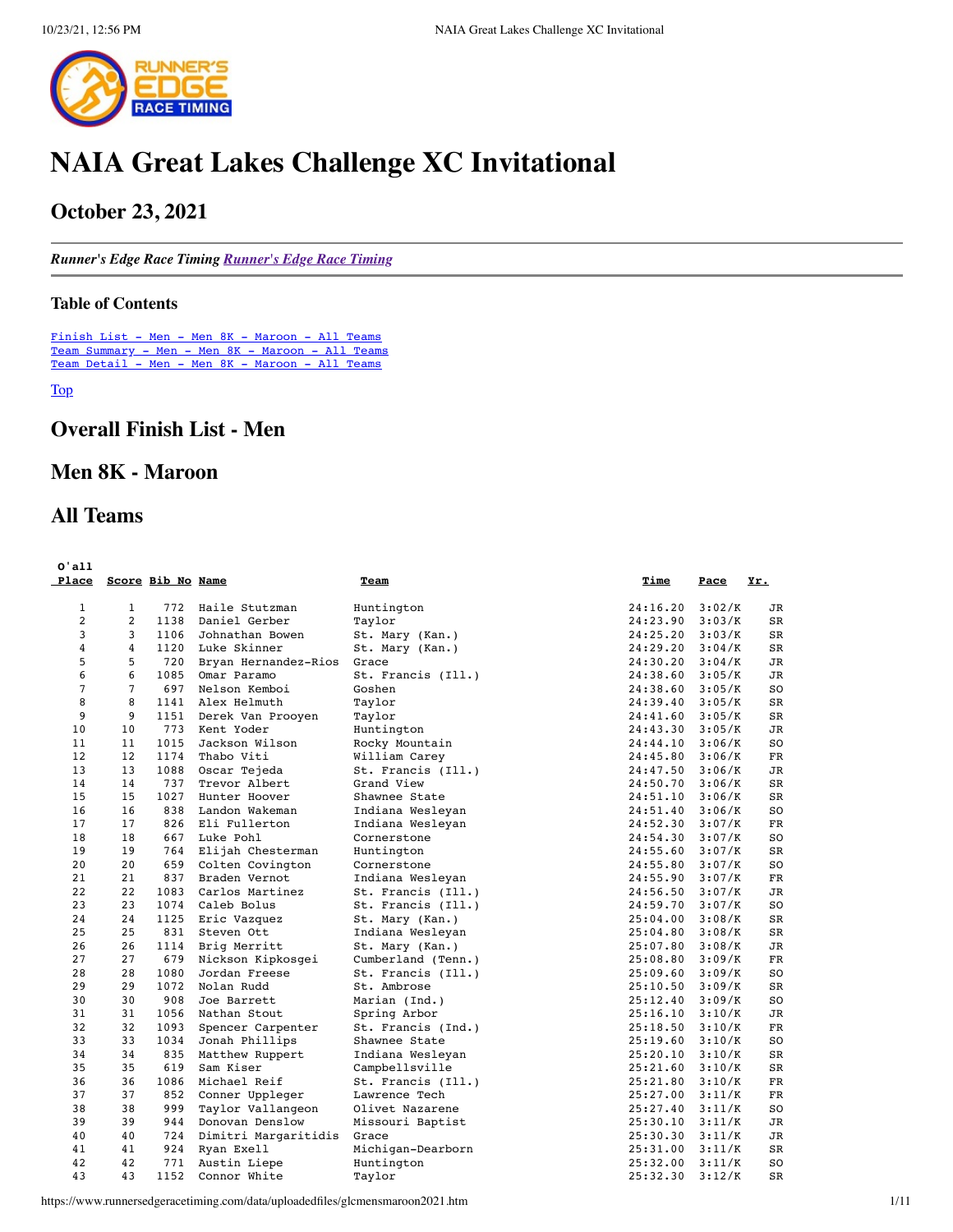

# **NAIA Great Lakes Challenge XC Invitational**

## **October 23, 2021**

*Runner's Edge Race Timing [Runner's Edge Race Timing](http://www.runnersedgeracetiming.com/)*

#### <span id="page-0-1"></span>**Table of Contents**

[Finish List - Men - Men 8K - Maroon - All Teams](#page-0-0) [Team Summary - Men - Men 8K - Maroon - All Teams](#page-3-0) [Team Detail - Men - Men 8K - Maroon - All Teams](#page-4-0)

<span id="page-0-0"></span>[Top](#page-0-1)

## **Overall Finish List - Men**

## **Men 8K - Maroon**

## **All Teams**

| 0'all<br>Place |                   | Score Bib No Name |                      | Team               | Time     | Pace   | Yr.            |
|----------------|-------------------|-------------------|----------------------|--------------------|----------|--------|----------------|
| $\mathbf{1}$   | $\mathbf{1}$      | 772               | Haile Stutzman       | Huntington         | 24:16.20 | 3:02/K | JR             |
| $\overline{2}$ | 2                 | 1138              | Daniel Gerber        | Taylor             | 24:23.90 | 3:03/K | <b>SR</b>      |
| 3              | 3                 | 1106              | Johnathan Bowen      | St. Mary (Kan.)    | 24:25.20 | 3:03/K | SR             |
| 4              | 4                 | 1120              | Luke Skinner         | St. Mary (Kan.)    | 24:29.20 | 3:04/K | SR             |
| 5              | 5                 | 720               | Bryan Hernandez-Rios | Grace              | 24:30.20 | 3:04/K | JR             |
| 6              | 6                 | 1085              | Omar Paramo          | St. Francis (Ill.) | 24:38.60 | 3:05/K | JR             |
| $\overline{7}$ | $\overline{7}$    | 697               | Nelson Kemboi        | Goshen             | 24:38.60 | 3:05/K | S <sub>O</sub> |
| 8              | 8                 | 1141              | Alex Helmuth         | Taylor             | 24:39.40 | 3:05/K | SR             |
| 9              | 9                 | 1151              | Derek Van Prooyen    | Taylor             | 24:41.60 | 3:05/K | SR             |
| 10             | 10                | 773               | Kent Yoder           | Huntington         | 24:43.30 | 3:05/K | JR             |
| 11             | 11                | 1015              | Jackson Wilson       | Rocky Mountain     | 24:44.10 | 3:06/K | SO             |
| 12             | $12 \overline{ }$ | 1174              | Thabo Viti           | William Carey      | 24:45.80 | 3:06/K | <b>FR</b>      |
| 13             | 13                | 1088              | Oscar Tejeda         | St. Francis (Ill.) | 24:47.50 | 3:06/K | JR             |
| 14             | 14                | 737               | Trevor Albert        | Grand View         | 24:50.70 | 3:06/K | <b>SR</b>      |
| 15             | 15                | 1027              | Hunter Hoover        | Shawnee State      | 24:51.10 | 3:06/K | SR             |
| 16             | 16                | 838               | Landon Wakeman       | Indiana Wesleyan   | 24:51.40 | 3:06/K | S <sub>O</sub> |
| 17             | 17                | 826               | Eli Fullerton        | Indiana Wesleyan   | 24:52.30 | 3:07/K | $_{\rm FR}$    |
| 18             | 18                | 667               | Luke Pohl            | Cornerstone        | 24:54.30 | 3:07/K | SO             |
| 19             | 19                | 764               | Elijah Chesterman    | Huntington         | 24:55.60 | 3:07/K | SR             |
| 20             | 20                | 659               | Colten Covington     | Cornerstone        | 24:55.80 | 3:07/K | S <sub>O</sub> |
| 21             | 21                | 837               | Braden Vernot        | Indiana Wesleyan   | 24:55.90 | 3:07/K | $_{\rm FR}$    |
| 22             | 22                | 1083              | Carlos Martinez      | St. Francis (Ill.) | 24:56.50 | 3:07/K | JR             |
| 23             | 23                | 1074              | Caleb Bolus          | St. Francis (Ill.) | 24:59.70 | 3:07/K | SO             |
| 24             | 24                | 1125              | Eric Vazquez         | St. Mary (Kan.)    | 25:04.00 | 3:08/K | SR             |
| 25             | 25                | 831               | Steven Ott           | Indiana Wesleyan   | 25:04.80 | 3:08/K | SR             |
| 26             | 26                | 1114              | Brig Merritt         | St. Mary (Kan.)    | 25:07.80 | 3:08/K | JR             |
| 27             | 27                | 679               | Nickson Kipkosgei    | Cumberland (Tenn.) | 25:08.80 | 3:09/K | FR             |
| 28             | 28                | 1080              | Jordan Freese        | St. Francis (Ill.) | 25:09.60 | 3:09/K | SO.            |
| 29             | 29                | 1072              | Nolan Rudd           | St. Ambrose        | 25:10.50 | 3:09/K | SR             |
| 30             | 30                | 908               | Joe Barrett          | Marian (Ind.)      | 25:12.40 | 3:09/K | SO             |
| 31             | 31                | 1056              | Nathan Stout         | Spring Arbor       | 25:16.10 | 3:10/K | JR             |
| 32             | 32                | 1093              | Spencer Carpenter    | St. Francis (Ind.) | 25:18.50 | 3:10/K | FR             |
| 33             | 33                | 1034              | Jonah Phillips       | Shawnee State      | 25:19.60 | 3:10/K | SO             |
| 34             | 34                | 835               | Matthew Ruppert      | Indiana Wesleyan   | 25:20.10 | 3:10/K | SR             |
| 35             | 35                | 619               | Sam Kiser            | Campbellsville     | 25:21.60 | 3:10/K | SR             |
| 36             | 36                | 1086              | Michael Reif         | St. Francis (Ill.) | 25:21.80 | 3:10/K | FR             |
| 37             | 37                | 852               | Conner Uppleger      | Lawrence Tech      | 25:27.00 | 3:11/K | FR             |
| 38             | 38                | 999               | Taylor Vallangeon    | Olivet Nazarene    | 25:27.40 | 3:11/K | SO             |
| 39             | 39                | 944               | Donovan Denslow      | Missouri Baptist   | 25:30.10 | 3:11/K | <b>JR</b>      |
| 40             | 40                | 724               | Dimitri Margaritidis | Grace              | 25:30.30 | 3:11/K | <b>JR</b>      |
| 41             | 41                | 924               | Ryan Exell           | Michigan-Dearborn  | 25:31.00 | 3:11/K | SR             |
| 42             | 42                | 771               | Austin Liepe         | Huntington         | 25:32.00 | 3:11/K | S <sub>O</sub> |
| 43             | 43                | 1152              | Connor White         | Taylor             | 25:32.30 | 3:12/K | <b>SR</b>      |

https://www.runnersedgeracetiming.com/data/uploadedfiles/glcmensmaroon2021.htm 1/11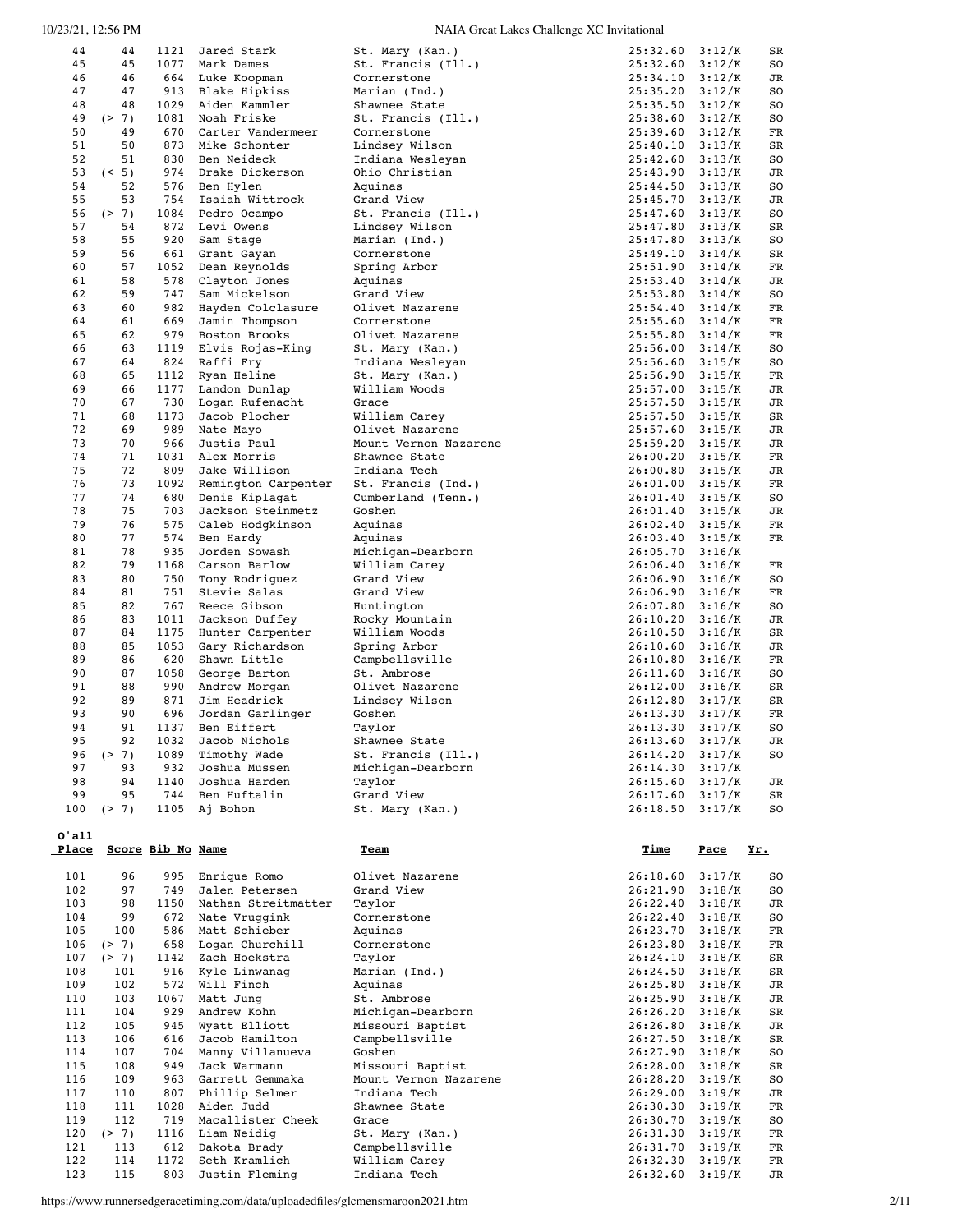| 44<br>45 |       |                   |                     |                       |                     |             |     |
|----------|-------|-------------------|---------------------|-----------------------|---------------------|-------------|-----|
|          | 44    | 1121              | Jared Stark         | St. Mary (Kan.)       | 25:32.60            | 3:12/K      | SR  |
|          | 45    | 1077              | Mark Dames          | St. Francis (Ill.)    | 25:32.60            | 3:12/K      | SO  |
| 46       | 46    | 664               | Luke Koopman        | Cornerstone           | 25:34.10            | 3:12/K      | JR  |
| 47       | 47    | 913               | Blake Hipkiss       | Marian (Ind.)         | 25:35.20            | 3:12/K      | SO  |
| 48       | 48    | 1029              | Aiden Kammler       | Shawnee State         | 25:35.50            | 3:12/K      | SO  |
|          |       | 1081              |                     |                       |                     |             |     |
| 49       | (2 7) |                   | Noah Friske         | St. Francis (Ill.)    | 25:38.60            | 3:12/K      | SO  |
| 50       | 49    | 670               | Carter Vandermeer   | Cornerstone           | 25:39.60            | 3:12/K      | FR  |
| 51       | 50    | 873               | Mike Schonter       | Lindsey Wilson        | 25:40.10            | 3:13/K      | SR  |
| 52       | 51    | 830               | Ben Neideck         | Indiana Wesleyan      | 25:42.60            | 3:13/K      | SO  |
| 53       | (5)   | 974               | Drake Dickerson     | Ohio Christian        | 25:43.90            | 3:13/K      | JR  |
|          |       |                   |                     |                       |                     |             |     |
| 54       | 52    | 576               | Ben Hylen           | Aquinas               | 25:44.50            | 3:13/K      | SO  |
| 55       | 53    | 754               | Isaiah Wittrock     | Grand View            | 25:45.70            | 3:13/K      | JR  |
| 56       | (2 7) | 1084              | Pedro Ocampo        | St. Francis (Ill.)    | 25:47.60            | 3:13/K      | SO  |
| 57       | 54    | 872               | Levi Owens          | Lindsey Wilson        | 25:47.80            | 3:13/K      | SR  |
|          |       | 920               |                     |                       |                     |             |     |
| 58       | 55    |                   | Sam Stage           | Marian (Ind.)         | 25:47.80            | 3:13/K      | SO  |
| 59       | 56    | 661               | Grant Gayan         | Cornerstone           | 25:49.10            | 3:14/K      | SR  |
| 60       | 57    | 1052              | Dean Reynolds       | Spring Arbor          | 25:51.90            | 3:14/K      | FR  |
| 61       | 58    | 578               | Clayton Jones       | Aquinas               | 25:53.40            | 3:14/K      | JR  |
| 62       | 59    | 747               | Sam Mickelson       | Grand View            | 25:53.80            | 3:14/K      | SO  |
|          |       |                   |                     |                       |                     |             |     |
| 63       | 60    | 982               | Hayden Colclasure   | Olivet Nazarene       | 25:54.40            | 3:14/K      | FR  |
| 64       | 61    | 669               | Jamin Thompson      | Cornerstone           | 25:55.60            | 3:14/K      | FR  |
| 65       | 62    | 979               | Boston Brooks       | Olivet Nazarene       | 25:55.80            | 3:14/K      | FR  |
| 66       | 63    | 1119              | Elvis Rojas-King    | St. Mary (Kan.)       | 25:56.00            | 3:14/K      | SO  |
| 67       | 64    | 824               | Raffi Fry           | Indiana Wesleyan      | 25:56.60            | 3:15/K      | SO  |
|          |       |                   |                     |                       |                     |             |     |
| 68       | 65    | 1112              | Ryan Heline         | St. Mary (Kan.)       | 25:56.90            | 3:15/K      | FR  |
| 69       | 66    | 1177              | Landon Dunlap       | William Woods         | 25:57.00            | 3:15/K      | JR  |
| 70       | 67    | 730               | Logan Rufenacht     | Grace                 | 25:57.50            | 3:15/K      | JR  |
| 71       | 68    | 1173              | Jacob Plocher       | William Carey         | 25:57.50            | 3:15/K      | SR  |
|          |       |                   |                     |                       |                     |             |     |
| 72       | 69    | 989               | Nate Mayo           | Olivet Nazarene       | 25:57.60            | 3:15/K      | JR  |
| 73       | 70    | 966               | Justis Paul         | Mount Vernon Nazarene | 25:59.20            | 3:15/K      | JR  |
| 74       | 71    | 1031              | Alex Morris         | Shawnee State         | 26:00.20            | 3:15/K      | FR  |
| 75       | 72    | 809               | Jake Willison       | Indiana Tech          | 26:00.80            | 3:15/K      | JR  |
| 76       | 73    | 1092              | Remington Carpenter | St. Francis (Ind.)    | 26:01.00            | 3:15/K      | FR  |
|          |       |                   |                     |                       |                     |             |     |
| 77       | 74    | 680               | Denis Kiplagat      | Cumberland (Tenn.)    | 26:01.40            | 3:15/K      | SO  |
| 78       | 75    | 703               | Jackson Steinmetz   | Goshen                | 26:01.40            | 3:15/K      | JR  |
| 79       | 76    | 575               | Caleb Hodgkinson    | Aquinas               | 26:02.40            | 3:15/K      | FR  |
| 80       | 77    | 574               | Ben Hardy           | Aquinas               | 26:03.40            | 3:15/K      | FR  |
|          | 78    | 935               | Jorden Sowash       |                       |                     |             |     |
| 81       |       |                   |                     | Michigan-Dearborn     | 26:05.70            | 3:16/K      |     |
| 82       | 79    | 1168              | Carson Barlow       | William Carey         | 26:06.40            | 3:16/K      | FR  |
| 83       | 80    | 750               | Tony Rodriguez      | Grand View            | 26:06.90            | 3:16/K      | SO  |
| 84       | 81    | 751               | Stevie Salas        | Grand View            | 26:06.90            | 3:16/K      | FR  |
| 85       | 82    | 767               | Reece Gibson        | Huntington            | 26:07.80            | 3:16/K      | SO  |
|          |       |                   |                     |                       |                     |             |     |
|          |       |                   |                     |                       |                     |             |     |
| 86       | 83    | 1011              | Jackson Duffey      | Rocky Mountain        | 26:10.20            | 3:16/K      | JR  |
| 87       | 84    | 1175              | Hunter Carpenter    | William Woods         | 26:10.50            | 3:16/K      | SR  |
| 88       | 85    | 1053              |                     |                       |                     | 3:16/K      | JR  |
|          |       |                   | Gary Richardson     | Spring Arbor          | 26:10.60            |             |     |
| 89       | 86    | 620               | Shawn Little        | Campbellsville        | 26:10.80            | 3:16/K      | FR  |
| 90       | 87    | 1058              | George Barton       | St. Ambrose           | 26:11.60            | 3:16/K      | SO  |
| 91       | 88    | 990               | Andrew Morgan       | Olivet Nazarene       | 26:12.00            | 3:16/K      | SR  |
| 92       | 89    | 871               | Jim Headrick        | Lindsey Wilson        | 26:12.80            | 3:17/K      | SR  |
|          |       |                   |                     |                       |                     |             |     |
| 93       | 90    | 696               | Jordan Garlinger    | Goshen                | 26:13.30            | 3:17/K      | FR  |
| 94       | 91    | 1137              | Ben Eiffert         | Taylor                | 26:13.30            | 3:17/K      | SO  |
| 95       | 92    | 1032              | Jacob Nichols       | Shawnee State         | $26:13.60$ $3:17/K$ |             | JR  |
| 96       | (2 7) |                   | 1089 Timothy Wade   | St. Francis (Ill.)    | 26:14.20            | 3:17/K      | SO  |
| 97       | 93    | 932               | Joshua Mussen       | Michigan-Dearborn     | 26:14.30            | 3:17/K      |     |
|          |       |                   |                     |                       |                     |             |     |
| 98       | 94    | 1140              | Joshua Harden       | Taylor                | 26:15.60            | 3:17/K      | JR  |
| 99       | 95    | 744               | Ben Huftalin        | Grand View            | 26:17.60            | 3:17/K      | SR  |
| 100      | (2 7) | 1105              | Aj Bohon            | St. Mary (Kan.)       | 26:18.50            | 3:17/K      | SO  |
|          |       |                   |                     |                       |                     |             |     |
| 0'all    |       |                   |                     |                       |                     |             |     |
| Place    |       |                   |                     | <b>Team</b>           |                     |             |     |
|          |       | Score Bib No Name |                     |                       | <u>Time</u>         | <u>Pace</u> | Yr. |
|          |       |                   |                     |                       |                     |             |     |
| 101      | 96    | 995               | Enrique Romo        | Olivet Nazarene       | 26:18.60            | 3:17/K      | SO  |
| 102      | 97    | 749               | Jalen Petersen      | Grand View            | 26:21.90            | 3:18/K      | so  |
| 103      | 98    | 1150              | Nathan Streitmatter | Taylor                | 26:22.40            | 3:18/K      | JR  |
| 104      | 99    | 672               | Nate Vruggink       | Cornerstone           | 26:22.40            | 3:18/K      | SO  |
|          |       |                   |                     |                       |                     |             |     |
| 105      | 100   | 586               | Matt Schieber       | Aquinas               | 26:23.70            | 3:18/K      | FR  |
| 106      | (2 7) | 658               | Logan Churchill     | Cornerstone           | 26:23.80            | 3:18/K      | FR  |
| 107      | (2 7) | 1142              | Zach Hoekstra       | Taylor                | 26:24.10            | 3:18/K      | SR  |
| 108      | 101   | 916               | Kyle Linwanag       | Marian (Ind.)         | 26:24.50            | 3:18/K      | SR  |
| 109      | 102   | 572               | Will Finch          | Aquinas               | 26:25.80            | 3:18/K      |     |
|          |       |                   |                     |                       |                     |             | JR  |
| 110      | 103   | 1067              | Matt Jung           | St. Ambrose           | 26:25.90            | 3:18/K      | JR  |
| 111      | 104   | 929               | Andrew Kohn         | Michigan-Dearborn     | 26:26.20            | 3:18/K      | SR  |
| 112      | 105   | 945               | Wyatt Elliott       | Missouri Baptist      | 26:26.80            | 3:18/K      | JR  |
| 113      | 106   | 616               | Jacob Hamilton      | Campbellsville        | 26:27.50            | 3:18/K      | SR  |
|          |       |                   |                     |                       |                     |             |     |
| 114      | 107   | 704               | Manny Villanueva    | Goshen                | 26:27.90            | 3:18/K      | SO  |
| 115      | 108   | 949               | Jack Warmann        | Missouri Baptist      | 26:28.00            | 3:18/K      | SR  |
| 116      | 109   | 963               | Garrett Gemmaka     | Mount Vernon Nazarene | 26:28.20            | 3:19/K      | so  |
| 117      | 110   | 807               | Phillip Selmer      | Indiana Tech          | 26:29.00            | 3:19/K      | JR  |
|          |       |                   |                     |                       |                     |             |     |
| 118      | 111   | 1028              | Aiden Judd          | Shawnee State         | 26:30.30            | 3:19/K      | FR  |
| 119      | 112   | 719               | Macallister Cheek   | Grace                 | 26:30.70            | 3:19/K      | SO  |
| 120      | (2 7) | 1116              | Liam Neidig         | St. Mary (Kan.)       | 26:31.30            | 3:19/K      | FR  |
| 121      | 113   | 612               | Dakota Brady        | Campbellsville        | 26:31.70            | 3:19/K      | FR  |
| 122      | 114   | 1172              | Seth Kramlich       | William Carey         | 26:32.30            | 3:19/K      | FR  |

https://www.runnersedgeracetiming.com/data/uploadedfiles/glcmensmaroon2021.htm 2/11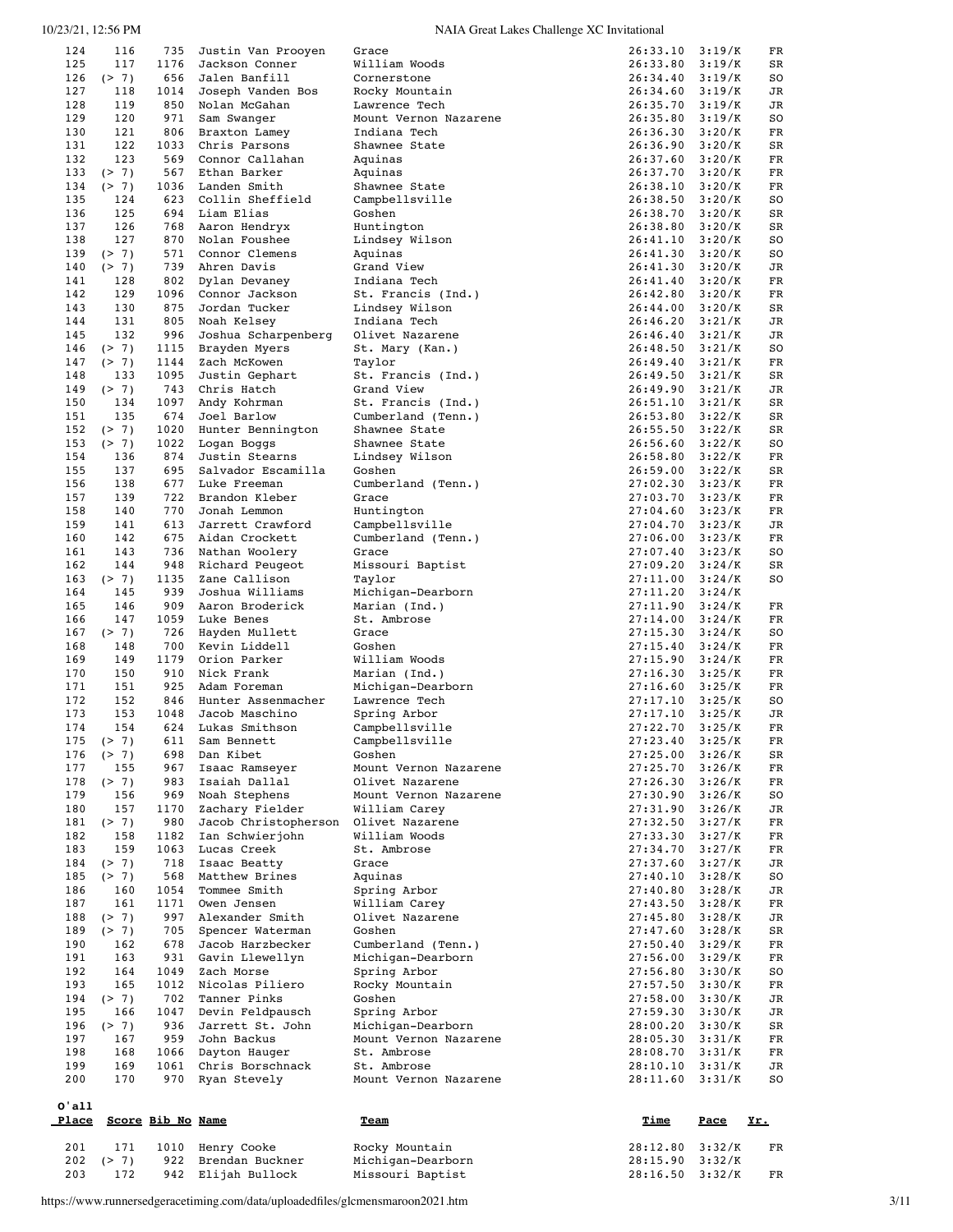| 124        | 116            | 735               | Justin Van Prooyen                | Grace                                 | 26:33.10             | 3:19/K           | FR         |
|------------|----------------|-------------------|-----------------------------------|---------------------------------------|----------------------|------------------|------------|
| 125        | 117            | 1176              | Jackson Conner                    | William Woods                         | 26:33.80             | 3:19/K           | SR         |
| 126        | (2 7)          | 656               | Jalen Banfill                     | Cornerstone                           | 26:34.40             | 3:19/K           | SO         |
| 127        | 118            | 1014              | Joseph Vanden Bos                 | Rocky Mountain                        | 26:34.60             | 3:19/K           | JR         |
| 128        | 119            | 850               | Nolan McGahan                     | Lawrence Tech                         | 26:35.70             | 3:19/K           | JR         |
| 129        | 120            | 971               | Sam Swanger                       | Mount Vernon Nazarene                 | 26:35.80             | 3:19/K           | SO         |
| 130        | 121<br>122     | 806<br>1033       | Braxton Lamey<br>Chris Parsons    | Indiana Tech                          | 26:36.30             | 3:20/K<br>3:20/K | FR         |
| 131<br>132 | 123            | 569               | Connor Callahan                   | Shawnee State<br>Aquinas              | 26:36.90<br>26:37.60 | 3:20/K           | SR<br>FR   |
| 133        | (2 7)          | 567               | Ethan Barker                      | Aquinas                               | 26:37.70             | 3:20/K           | FR         |
| 134        | (2 7)          | 1036              | Landen Smith                      | Shawnee State                         | 26:38.10             | 3:20/K           | FR         |
| 135        | 124            | 623               | Collin Sheffield                  | Campbellsville                        | 26:38.50             | 3:20/K           | SO         |
| 136        | 125            | 694               | Liam Elias                        | Goshen                                | 26:38.70             | 3:20/K           | SR         |
| 137        | 126            | 768               | Aaron Hendryx                     | Huntington                            | 26:38.80             | 3:20/K           | SR         |
| 138        | 127            | 870               | Nolan Foushee                     | Lindsey Wilson                        | 26:41.10             | 3:20/K           | SO         |
| 139        | (2 7)          | 571               | Connor Clemens                    | Aquinas                               | 26:41.30             | 3:20/K           | SO         |
| 140        | (2 7)          | 739               | Ahren Davis                       | Grand View                            | 26:41.30             | 3:20/K           | JR         |
| 141        | 128            | 802               | Dylan Devaney                     | Indiana Tech                          | 26:41.40             | 3:20/K           | FR         |
| 142        | 129            | 1096              | Connor Jackson                    | St. Francis (Ind.)                    | 26:42.80             | 3:20/K           | FR         |
| 143        | 130            | 875               | Jordan Tucker                     | Lindsey Wilson                        | 26:44.00             | 3:20/K           | SR         |
| 144        | 131            | 805               | Noah Kelsey                       | Indiana Tech                          | 26:46.20             | 3:21/K           | JR         |
| 145        | 132            | 996               | Joshua Scharpenberg               | Olivet Nazarene                       | 26:46.40             | 3:21/K           | JR         |
| 146<br>147 | (2 7)          | 1115<br>1144      | Brayden Myers<br>Zach McKowen     | St. Mary (Kan.)<br>Taylor             | 26:48.50<br>26:49.40 | 3:21/K<br>3:21/K | SO<br>FR   |
| 148        | (2 7)<br>133   | 1095              | Justin Gephart                    | St. Francis (Ind.)                    | 26:49.50             | 3:21/K           | SR         |
| 149        | (2 7)          | 743               | Chris Hatch                       | Grand View                            | 26:49.90             | 3:21/K           | JR         |
| 150        | 134            | 1097              | Andy Kohrman                      | St. Francis (Ind.)                    | 26:51.10             | 3:21/K           | SR         |
| 151        | 135            | 674               | Joel Barlow                       | Cumberland (Tenn.)                    | 26:53.80             | 3:22/K           | SR         |
| 152        | (2 7)          | 1020              | Hunter Bennington                 | Shawnee State                         | 26:55.50             | 3:22/K           | SR         |
| 153        | (2 7)          | 1022              | Logan Boggs                       | Shawnee State                         | 26:56.60             | 3:22/K           | SO         |
| 154        | 136            | 874               | Justin Stearns                    | Lindsey Wilson                        | 26:58.80             | 3:22/K           | FR         |
| 155        | 137            | 695               | Salvador Escamilla                | Goshen                                | 26:59.00             | 3:22/K           | SR         |
| 156        | 138            | 677               | Luke Freeman                      | Cumberland (Tenn.)                    | 27:02.30             | 3:23/K           | FR         |
| 157        | 139            | 722               | Brandon Kleber                    | Grace                                 | 27:03.70             | 3:23/K           | FR         |
| 158        | 140            | 770               | Jonah Lemmon                      | Huntington                            | 27:04.60             | 3:23/K           | FR         |
| 159        | 141            | 613               | Jarrett Crawford                  | Campbellsville                        | 27:04.70             | 3:23/K           | JR         |
| 160        | 142            | 675               | Aidan Crockett                    | Cumberland (Tenn.)                    | 27:06.00             | 3:23/K           | ${\rm FR}$ |
| 161        | 143            | 736               | Nathan Woolery                    | Grace                                 | 27:07.40             | 3:23/K           | SO         |
| 162        | 144            | 948               | Richard Peugeot                   | Missouri Baptist                      | 27:09.20             | 3:24/K           | SR         |
| 163<br>164 | (2 7)<br>145   | 1135<br>939       | Zane Callison<br>Joshua Williams  | Taylor<br>Michigan-Dearborn           | 27:11.00<br>27:11.20 | 3:24/K<br>3:24/K | SO         |
| 165        | 146            | 909               | Aaron Broderick                   | Marian (Ind.)                         | 27:11.90             | 3:24/K           | FR         |
| 166        | 147            | 1059              | Luke Benes                        | St. Ambrose                           | 27:14.00             | 3:24/K           | FR         |
| 167        | (2 7)          | 726               | Hayden Mullett                    | Grace                                 | 27:15.30             | 3:24/K           | SO         |
| 168        | 148            | 700               | Kevin Liddell                     | Goshen                                | 27:15.40             | 3:24/K           | FR         |
| 169        | 149            | 1179              | Orion Parker                      | William Woods                         | 27:15.90             | 3:24/K           | FR         |
| 170        | 150            | 910               | Nick Frank                        | Marian (Ind.)                         | 27:16.30             | 3:25/K           | FR         |
| 171        | 151            | 925               | Adam Foreman                      | Michigan-Dearborn                     | 27:16.60             | 3:25/K           | FR         |
| 172        | 152            | 846               | Hunter Assenmacher                | Lawrence Tech                         | 27:17.10             | 3:25/K           | SO         |
| 173        | 153            | 1048              | Jacob Maschino                    | Spring Arbor                          | 27:17.10             | 3:25/K           | JR         |
| 174        | 154            | 624               | Lukas Smithson                    | Campbellsville                        |                      |                  |            |
| 175        |                |                   |                                   |                                       | 27:22.70             | 3:25/K           | FR         |
| 176        | (> 7)          | 611               | Sam Bennett                       | Campbellsville                        | $27:23.40$ $3:25/K$  |                  | FR         |
| 177        | ( > 7)         | 698               | Dan Kibet                         | Goshen                                | 27:25.00             | 3:26/K           | SR         |
|            | 155            | 967               | Isaac Ramseyer                    | Mount Vernon Nazarene                 | 27:25.70             | 3:26/K           | FR         |
| 178        | (2 7)          | 983               | Isaiah Dallal                     | Olivet Nazarene                       | 27:26.30             | 3:26/K           | FR         |
| 179        | 156            | 969               | Noah Stephens                     | Mount Vernon Nazarene                 | 27:30.90             | 3:26/K           | SO         |
| 180        | 157            | 1170              | Zachary Fielder                   | William Carey                         | 27:31.90             | 3:26/K           | JR         |
| 181        | (2 7)          | 980               | Jacob Christopherson              | Olivet Nazarene                       | 27:32.50             | 3:27/K           | FR         |
| 182        | 158            | 1182              | Ian Schwierjohn                   | William Woods                         | 27:33.30             | 3:27/K           | FR         |
| 183        | 159            | 1063<br>718       | Lucas Creek<br>Isaac Beatty       | St. Ambrose<br>Grace                  | 27:34.70<br>27:37.60 | 3:27/K<br>3:27/K | FR<br>JR   |
| 184<br>185 | (2 7)<br>(2 7) | 568               | Matthew Brines                    | Aquinas                               | 27:40.10             | 3:28/K           | SO         |
| 186        | 160            | 1054              | Tommee Smith                      | Spring Arbor                          | 27:40.80             | 3:28/K           | JR         |
| 187        | 161            | 1171              | Owen Jensen                       | William Carey                         | 27:43.50             | 3:28/K           | FR         |
| 188        | (2 7)          | 997               | Alexander Smith                   | Olivet Nazarene                       | 27:45.80             | 3:28/K           | JR         |
| 189        | (2 7)          | 705               | Spencer Waterman                  | Goshen                                | 27:47.60             | 3:28/K           | SR         |
| 190        | 162            | 678               | Jacob Harzbecker                  | Cumberland (Tenn.)                    | 27:50.40             | 3:29/K           | FR         |
| 191        | 163            | 931               | Gavin Llewellyn                   | Michigan-Dearborn                     | 27:56.00             | 3:29/K           | FR         |
| 192        | 164            | 1049              | Zach Morse                        | Spring Arbor                          | 27:56.80             | 3:30/K           | so         |
| 193        | 165            | 1012              | Nicolas Piliero                   | Rocky Mountain                        | 27:57.50             | 3:30/K           | FR         |
| 194        | (2 7)          | 702               | Tanner Pinks                      | Goshen                                | 27:58.00             | 3:30/K           | JR         |
| 195        | 166            | 1047              | Devin Feldpausch                  | Spring Arbor                          | 27:59.30             | 3:30/K           | JR         |
| 196        | (2 7)          | 936               | Jarrett St. John                  | Michigan-Dearborn                     | 28:00.20             | 3:30/K           | SR         |
| 197        | 167            | 959               | John Backus                       | Mount Vernon Nazarene                 | 28:05.30             | 3:31/K           | FR         |
| 198        | 168            | 1066              | Dayton Hauger                     | St. Ambrose                           | 28:08.70             | 3:31/K           | FR         |
| 199        | 169            | 1061              | Chris Borschnack                  | St. Ambrose                           | 28:10.10             | 3:31/K           | JR         |
| 200        | 170            | 970               | Ryan Stevely                      | Mount Vernon Nazarene                 | 28:11.60             | 3:31/K           | SO         |
| 0'all      |                |                   |                                   |                                       |                      |                  |            |
| Place      |                | Score Bib No Name |                                   | <u>Team</u>                           | <u>Time</u>          | <u>Pace</u>      | Yr.        |
|            |                |                   |                                   |                                       |                      |                  |            |
| 201        | 171            | 1010              | Henry Cooke                       | Rocky Mountain                        | 28:12.80             | 3:32/K           | FR         |
| 202<br>203 | (2 7)<br>172   | 922<br>942        | Brendan Buckner<br>Elijah Bullock | Michigan-Dearborn<br>Missouri Baptist | 28:15.90<br>28:16.50 | 3:32/K<br>3:32/K | FR         |

https://www.runnersedgeracetiming.com/data/uploadedfiles/glcmensmaroon2021.htm 3/11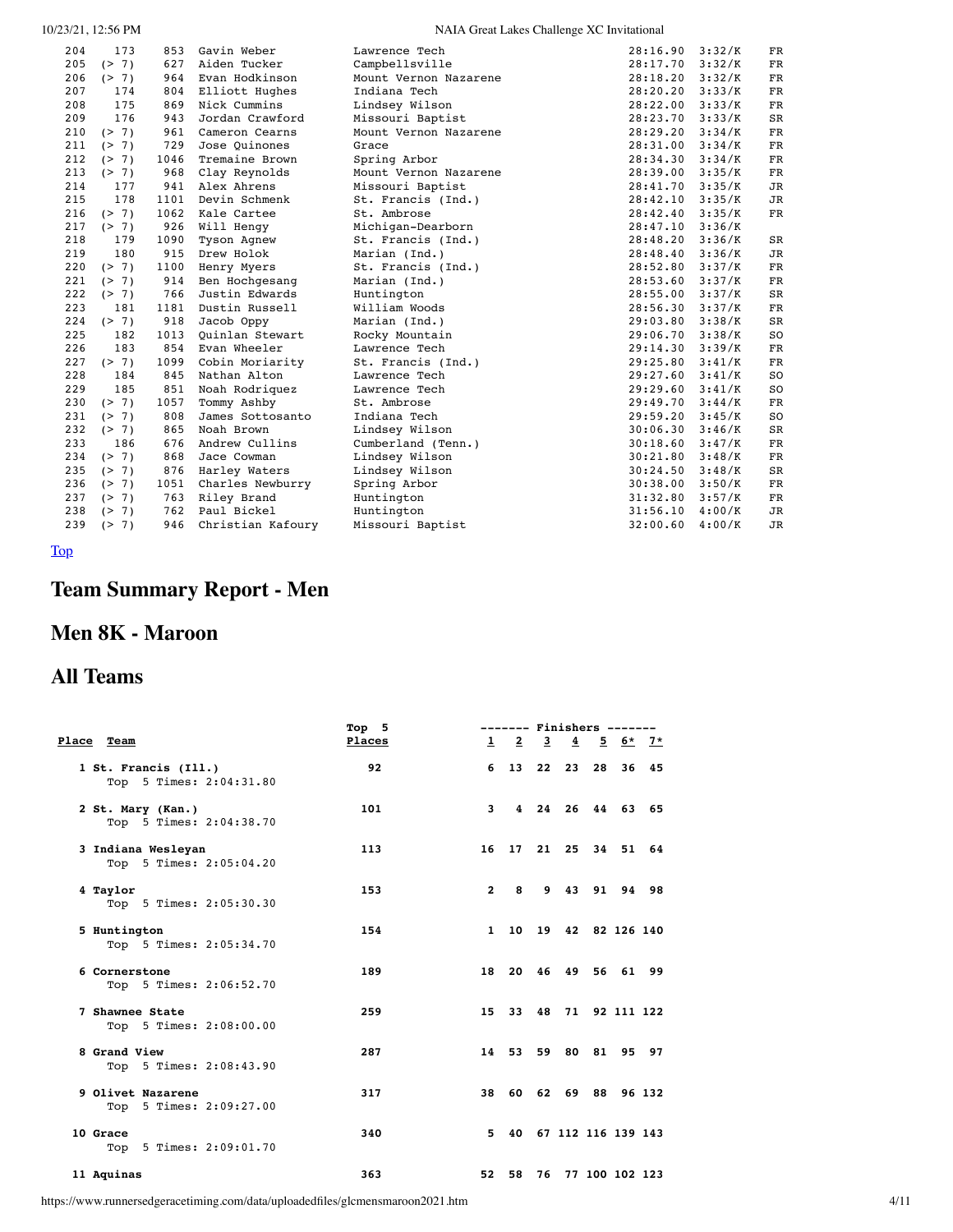#### NAIA Great Lakes Challenge XC Invitational

| 204 | 173   | 853  | Gavin Weber       | Lawrence Tech         | 28:16.90 | 3:32/K | FR          |
|-----|-------|------|-------------------|-----------------------|----------|--------|-------------|
| 205 | (2 7) | 627  | Aiden Tucker      | Campbellsville        | 28:17.70 | 3:32/K | <b>FR</b>   |
| 206 | (2 7) | 964  | Evan Hodkinson    | Mount Vernon Nazarene | 28:18.20 | 3:32/K | FR          |
| 207 | 174   | 804  | Elliott Hughes    | Indiana Tech          | 28:20.20 | 3:33/K | FR          |
| 208 | 175   | 869  | Nick Cummins      | Lindsey Wilson        | 28:22.00 | 3:33/K | $_{\rm FR}$ |
| 209 | 176   | 943  | Jordan Crawford   | Missouri Baptist      | 28:23.70 | 3:33/K | SR          |
| 210 | (2 7) | 961  | Cameron Cearns    | Mount Vernon Nazarene | 28:29.20 | 3:34/K | $_{\rm FR}$ |
| 211 | (2 7) | 729  | Jose Ouinones     | Grace                 | 28:31.00 | 3:34/K | ${\rm FR}$  |
| 212 | (2 7) | 1046 | Tremaine Brown    | Spring Arbor          | 28:34.30 | 3:34/K | ${\rm FR}$  |
| 213 | (2 7) | 968  | Clay Reynolds     | Mount Vernon Nazarene | 28:39.00 | 3:35/K | ${\rm FR}$  |
| 214 | 177   | 941  | Alex Ahrens       | Missouri Baptist      | 28:41.70 | 3:35/K | <b>JR</b>   |
| 215 | 178   | 1101 | Devin Schmenk     | St. Francis (Ind.)    | 28:42.10 | 3:35/K | <b>JR</b>   |
| 216 | (2 7) | 1062 | Kale Cartee       | St. Ambrose           | 28:42.40 | 3:35/K | FR          |
| 217 | (2 7) | 926  | Will Hengy        | Michigan-Dearborn     | 28:47.10 | 3:36/K |             |
| 218 | 179   | 1090 | Tyson Agnew       | St. Francis (Ind.)    | 28:48.20 | 3:36/K | $_{\rm SR}$ |
| 219 | 180   | 915  | Drew Holok        | Marian (Ind.)         | 28:48.40 | 3:36/K | <b>JR</b>   |
| 220 | (2 7) | 1100 | Henry Myers       | St. Francis (Ind.)    | 28:52.80 | 3:37/K | $_{\rm FR}$ |
| 221 | (2 7) | 914  | Ben Hochgesang    | Marian (Ind.)         | 28:53.60 | 3:37/K | $_{\rm FR}$ |
| 222 | (2 7) | 766  | Justin Edwards    | Huntington            | 28:55.00 | 3:37/K | $_{\rm SR}$ |
| 223 | 181   | 1181 | Dustin Russell    | William Woods         | 28:56.30 | 3:37/K | $_{\rm FR}$ |
| 224 | (2 7) | 918  | Jacob Oppy        | Marian (Ind.)         | 29:03.80 | 3:38/K | $_{\rm SR}$ |
| 225 | 182   | 1013 | Ouinlan Stewart   | Rocky Mountain        | 29:06.70 | 3:38/K | SO          |
| 226 | 183   | 854  | Evan Wheeler      | Lawrence Tech         | 29:14.30 | 3:39/K | $_{\rm FR}$ |
| 227 | (2 7) | 1099 | Cobin Moriarity   | St. Francis (Ind.)    | 29:25.80 | 3:41/K | $_{\rm FR}$ |
| 228 | 184   | 845  | Nathan Alton      | Lawrence Tech         | 29:27.60 | 3:41/K | SO          |
| 229 | 185   | 851  | Noah Rodriquez    | Lawrence Tech         | 29:29.60 | 3:41/K | SO          |
| 230 | (2 7) | 1057 | Tommy Ashby       | St. Ambrose           | 29:49.70 | 3:44/K | FR          |
| 231 | (2 7) | 808  | James Sottosanto  | Indiana Tech          | 29:59.20 | 3:45/K | <b>SO</b>   |
| 232 | (2 7) | 865  | Noah Brown        | Lindsey Wilson        | 30:06.30 | 3:46/K | <b>SR</b>   |
| 233 | 186   | 676  | Andrew Cullins    | Cumberland (Tenn.)    | 30:18.60 | 3:47/K | FR          |
| 234 | (2 7) | 868  | Jace Cowman       | Lindsey Wilson        | 30:21.80 | 3:48/K | FR          |
| 235 | (2 7) | 876  | Harley Waters     | Lindsey Wilson        | 30:24.50 | 3:48/K | SR          |
| 236 | (2 7) | 1051 | Charles Newburry  | Spring Arbor          | 30:38.00 | 3:50/K | FR          |
| 237 | (2 7) | 763  | Riley Brand       | Huntington            | 31:32.80 | 3:57/K | FR          |
| 238 | (2 7) | 762  | Paul Bickel       | Huntington            | 31:56.10 | 4:00/K | JR          |
| 239 | (2 7) | 946  | Christian Kafoury | Missouri Baptist      | 32:00.60 | 4:00/K | <b>JR</b>   |
|     |       |      |                   |                       |          |        |             |

<span id="page-3-0"></span>[Top](#page-0-1)

# **Team Summary Report - Men**

## **Men 8K - Maroon**

## **All Teams**

|                                                 | Top <sub>5</sub> |                | ------- Finishers ------- |  |                       |                |  |  |  |
|-------------------------------------------------|------------------|----------------|---------------------------|--|-----------------------|----------------|--|--|--|
| Place Team                                      | Places           |                | $1$ 2 3 4 5 6* 7*         |  |                       |                |  |  |  |
| 1 St. Francis (Ill.)<br>Top 5 Times: 2:04:31.80 | 92               |                | 6 13 22 23 28 36 45       |  |                       |                |  |  |  |
| 2 St. Mary (Kan.)<br>Top 5 Times: 2:04:38.70    | 101              | $\mathbf{3}$   |                           |  | 4 24 26 44 63 65      |                |  |  |  |
| 3 Indiana Wesleyan<br>Top 5 Times: 2:05:04.20   | 113              |                | 16 17 21 25 34 51 64      |  |                       |                |  |  |  |
| 4 Taylor<br>Top 5 Times: 2:05:30.30             | 153              | $\overline{2}$ | 8                         |  | 9 43 91 94 98         |                |  |  |  |
| 5 Huntington<br>Top 5 Times: 2:05:34.70         | 154              | $\mathbf{1}$   |                           |  | 10 19 42 82 126 140   |                |  |  |  |
| 6 Cornerstone<br>Top 5 Times: 2:06:52.70        | 189              |                | 18 20 46 49 56 61 99      |  |                       |                |  |  |  |
| 7 Shawnee State<br>Top 5 Times: 2:08:00.00      | 259              |                | 15 33 48 71 92 111 122    |  |                       |                |  |  |  |
| 8 Grand View<br>Top 5 Times: 2:08:43.90         | 287              |                | 14 53 59 80 81 95 97      |  |                       |                |  |  |  |
| 9 Olivet Nazarene<br>Top 5 Times: 2:09:27.00    | 317              |                | 38 60 62 69 88 96 132     |  |                       |                |  |  |  |
| 10 Grace<br>Top 5 Times: 2:09:01.70             | 340              | 5.             |                           |  | 40 67 112 116 139 143 |                |  |  |  |
| 11 Aquinas                                      | 363              |                | 52 58 76                  |  |                       | 77 100 102 123 |  |  |  |

https://www.runnersedgeracetiming.com/data/uploadedfiles/glcmensmaroon2021.htm 4/11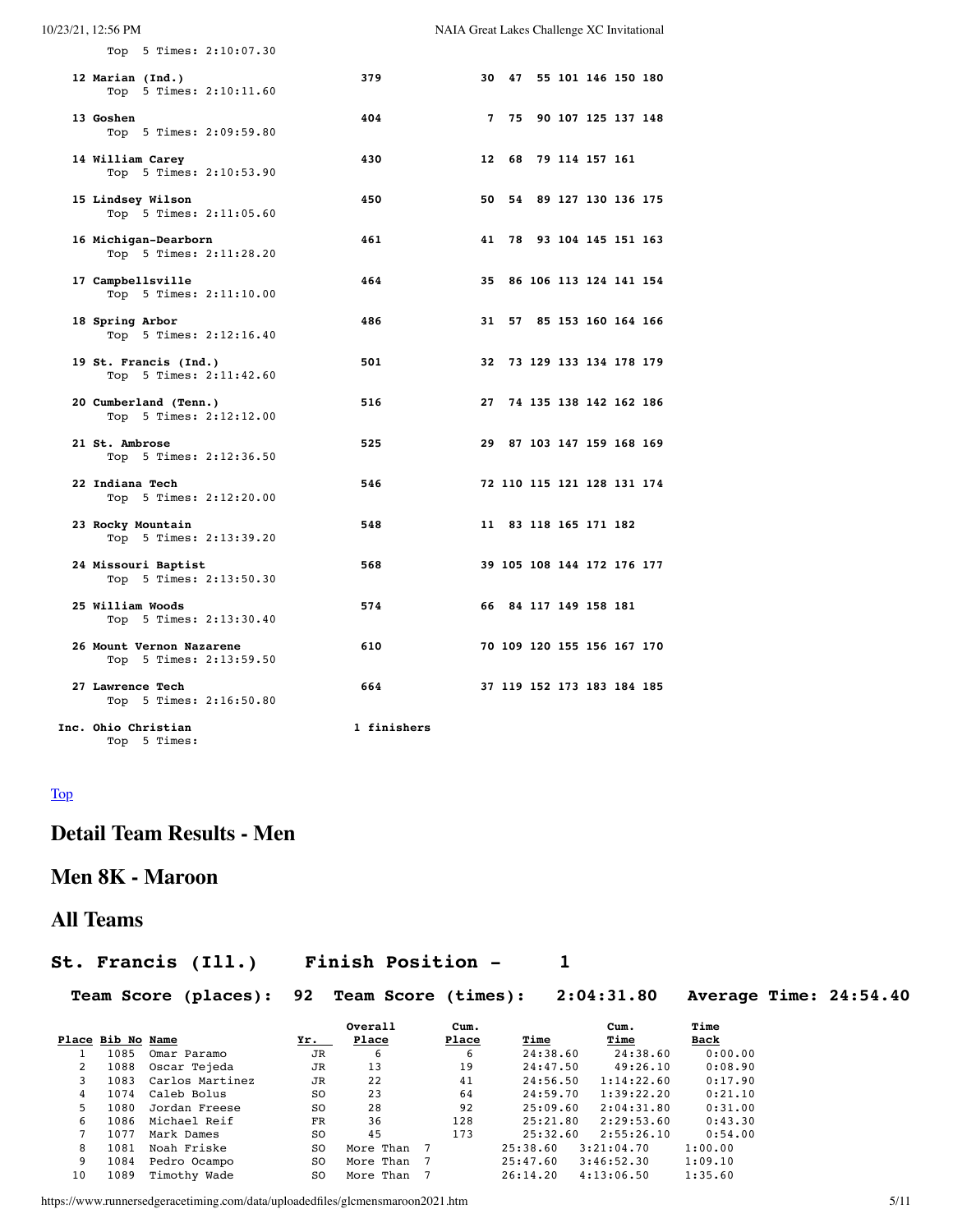| 10/23/21, 12:56 PM                                  |             | NAIA Great Lakes Challenge XC Invitational |                            |                |                        |  |
|-----------------------------------------------------|-------------|--------------------------------------------|----------------------------|----------------|------------------------|--|
| Top 5 Times: 2:10:07.30                             |             |                                            |                            |                |                        |  |
| 12 Marian (Ind.)<br>Top 5 Times: 2:10:11.60         | 379         | 30                                         |                            |                | 47 55 101 146 150 180  |  |
| 13 Goshen<br>Top 5 Times: 2:09:59.80                | 404         | $\mathbf{7}$                               | 75                         |                | 90 107 125 137 148     |  |
| 14 William Carey<br>Top 5 Times: 2:10:53.90         | 430         | 12                                         | 68                         | 79 114 157 161 |                        |  |
| 15 Lindsey Wilson<br>Top 5 Times: 2:11:05.60        | 450         | 50                                         | 54                         |                | 89 127 130 136 175     |  |
| 16 Michigan-Dearborn<br>Top 5 Times: 2:11:28.20     | 461         | 41                                         |                            |                | 78 93 104 145 151 163  |  |
| 17 Campbellsville<br>Top 5 Times: 2:11:10.00        | 464         | 35                                         |                            |                | 86 106 113 124 141 154 |  |
| 18 Spring Arbor<br>Top 5 Times: 2:12:16.40          | 486         | 31                                         | 57                         |                | 85 153 160 164 166     |  |
| 19 St. Francis (Ind.)<br>Top 5 Times: 2:11:42.60    | 501         | 32                                         |                            |                | 73 129 133 134 178 179 |  |
| 20 Cumberland (Tenn.)<br>Top 5 Times: 2:12:12.00    | 516         | 27                                         |                            |                | 74 135 138 142 162 186 |  |
| 21 St. Ambrose<br>Top 5 Times: 2:12:36.50           | 525         | 29                                         |                            |                | 87 103 147 159 168 169 |  |
| 22 Indiana Tech<br>Top 5 Times: 2:12:20.00          | 546         |                                            | 72 110 115 121 128 131 174 |                |                        |  |
| 23 Rocky Mountain<br>Top 5 Times: 2:13:39.20        | 548         |                                            | 11 83 118 165 171 182      |                |                        |  |
| 24 Missouri Baptist<br>Top 5 Times: 2:13:50.30      | 568         |                                            | 39 105 108 144 172 176 177 |                |                        |  |
| 25 William Woods<br>Top 5 Times: 2:13:30.40         | 574         |                                            | 66 84 117 149 158 181      |                |                        |  |
| 26 Mount Vernon Nazarene<br>Top 5 Times: 2:13:59.50 | 610         |                                            | 70 109 120 155 156 167 170 |                |                        |  |
| 27 Lawrence Tech<br>Top 5 Times: 2:16:50.80         | 664         |                                            | 37 119 152 173 183 184 185 |                |                        |  |
| Inc. Ohio Christian<br>Top 5 Times:                 | 1 finishers |                                            |                            |                |                        |  |

#### <span id="page-4-0"></span>[Top](#page-0-1)

## **Detail Team Results - Men**

## **Men 8K - Maroon**

## **All Teams**

## **St. Francis (Ill.) Finish Position - 1**

| Team Score (places): 92 Team Score (times): 2:04:31.80 Average Time: 24:54.40 |  |  |  |
|-------------------------------------------------------------------------------|--|--|--|
|                                                                               |  |  |  |

|    |                   |                 |                | Overall   | Cum.  |          | Cum.       | Time        |
|----|-------------------|-----------------|----------------|-----------|-------|----------|------------|-------------|
|    | Place Bib No Name |                 | <u>Yr. </u>    | Place     | Place | Time     | Time       | <b>Back</b> |
|    | 1085              | Omar Paramo     | <b>JR</b>      | 6         | 6     | 24:38.60 | 24:38.60   | 0:00.00     |
| 2  | 1088              | Oscar Tejeda    | <b>JR</b>      | 13        | 19    | 24:47.50 | 49:26.10   | 0:08.90     |
| 3  | 1083              | Carlos Martinez | <b>JR</b>      | 22        | 41    | 24:56.50 | 1:14:22.60 | 0:17.90     |
| 4  | 1074              | Caleb Bolus     | S <sub>O</sub> | 23        | 64    | 24:59.70 | 1:39:22.20 | 0:21.10     |
| 5. | 1080              | Jordan Freese   | S <sub>O</sub> | 28        | 92    | 25:09.60 | 2:04:31.80 | 0:31.00     |
| 6  | 1086              | Michael Reif    | FR             | 36        | 128   | 25:21.80 | 2:29:53.60 | 0:43.30     |
|    | 1077              | Mark Dames      | S <sub>O</sub> | 45        | 173   | 25:32.60 | 2:55:26.10 | 0:54.00     |
| 8  | 1081              | Noah Friske     | S <sub>O</sub> | More Than |       | 25:38.60 | 3:21:04.70 | 1:00.00     |
| 9  | 1084              | Pedro Ocampo    | S <sub>O</sub> | More Than |       | 25:47.60 | 3:46:52.30 | 1:09.10     |
| 10 | 1089              | Timothy Wade    | S <sub>O</sub> | More Than |       | 26:14.20 | 4:13:06.50 | 1:35.60     |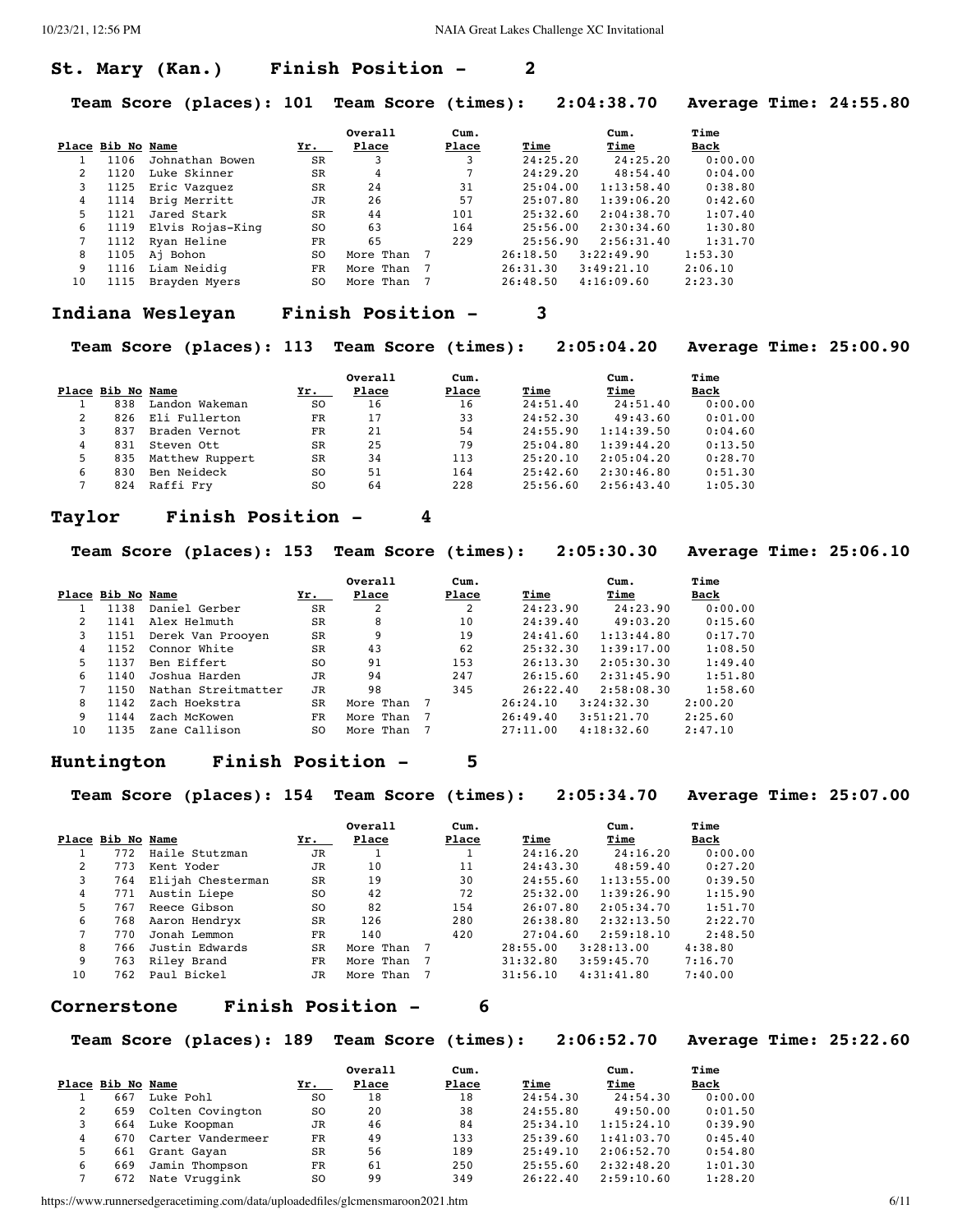#### **St. Mary (Kan.) Finish Position - 2**

**Team Score (places): 101 Team Score (times): 2:04:38.70 Average Time: 24:55.80**

|             |                   |                  |           | Overall   | Cum.  |          | Cum.       | Time    |
|-------------|-------------------|------------------|-----------|-----------|-------|----------|------------|---------|
|             | Place Bib No Name |                  | Yr.       | Place     | Place | Time     | Time       | Back    |
|             | 1106              | Johnathan Bowen  | <b>SR</b> | 3         | 3     | 24:25.20 | 24:25.20   | 0:00.00 |
| $2^{\circ}$ | 1120              | Luke Skinner     | SR        | 4         |       | 24:29.20 | 48:54.40   | 0:04.00 |
| 3           | 1125              | Eric Vazquez     | <b>SR</b> | 24        | 31    | 25:04.00 | 1:13:58.40 | 0:38.80 |
| 4           | 1114              | Brig Merritt     | JR        | 26        | 57    | 25:07.80 | 1:39:06.20 | 0:42.60 |
| 5.          | 1121              | Jared Stark      | SR        | 44        | 101   | 25:32.60 | 2:04:38.70 | 1:07.40 |
| 6           | 1119              | Elvis Rojas-King | SO.       | 63        | 164   | 25:56.00 | 2:30:34.60 | 1:30.80 |
|             | 1112              | Ryan Heline      | FR        | 65        | 229   | 25:56.90 | 2:56:31.40 | 1:31.70 |
| 8           | 1105              | Aj Bohon         | SO.       | More Than |       | 26:18.50 | 3:22:49.90 | 1:53.30 |
| 9           | 1116              | Liam Neidig      | <b>FR</b> | More Than |       | 26:31.30 | 3:49:21.10 | 2:06.10 |
| 10          | 1115              | Brayden Myers    | SO.       | More Than |       | 26:48.50 | 4:16:09.60 | 2:23.30 |

#### **Indiana Wesleyan Finish Position - 3**

**Team Score (places): 113 Team Score (times): 2:05:04.20 Average Time: 25:00.90**

|   | Place Bib No Name |                 | Yr.       | Overall<br>Place | Cum.<br>Place | Time     | Cum.<br>Time | Time<br>Back |
|---|-------------------|-----------------|-----------|------------------|---------------|----------|--------------|--------------|
|   | 838               | Landon Wakeman  | SO.       | 16               | 16            | 24:51.40 | 24:51.40     | 0:00.00      |
|   | 826               | Eli Fullerton   | FR        | 17               | 33            | 24:52.30 | 49:43.60     | 0:01.00      |
| 3 | 837               | Braden Vernot   | FR        | 21               | 54            | 24:55.90 | 1:14:39.50   | 0:04.60      |
|   | 831               | Steven Ott      | <b>SR</b> | 25               | 79            | 25:04.80 | 1:39:44.20   | 0:13.50      |
| 5 | 835               | Matthew Ruppert | <b>SR</b> | 34               | 113           | 25:20.10 | 2:05:04.20   | 0:28.70      |
| 6 | 830               | Ben Neideck     | S0        | 51               | 164           | 25:42.60 | 2:30:46.80   | 0:51.30      |
|   | 824               | Raffi Frv       | S0        | 64               | 228           | 25:56.60 | 2:56:43.40   | 1:05.30      |

#### **Taylor Finish Position - 4**

**Team Score (places): 153 Team Score (times): 2:05:30.30 Average Time: 25:06.10**

|    |                   |                     |           | Overall   | Cum.  |          | Cum.       | Time    |
|----|-------------------|---------------------|-----------|-----------|-------|----------|------------|---------|
|    | Place Bib No Name |                     | Yr.       | Place     | Place | Time     | Time       | Back    |
|    | 1138              | Daniel Gerber       | <b>SR</b> | 2         | 2     | 24:23.90 | 24:23.90   | 0:00.00 |
|    | 1141              | Alex Helmuth        | SR        | 8         | 10    | 24:39.40 | 49:03.20   | 0:15.60 |
| 3  | 1151              | Derek Van Prooyen   | <b>SR</b> | 9         | 19    | 24:41.60 | 1:13:44.80 | 0:17.70 |
| 4  | 1152              | Connor White        | <b>SR</b> | 43        | 62    | 25:32.30 | 1:39:17.00 | 1:08.50 |
| 5  | 1137              | Ben Eiffert         | SO.       | 91        | 153   | 26:13.30 | 2:05:30.30 | 1:49.40 |
| 6  | 1140              | Joshua Harden       | JR        | 94        | 247   | 26:15.60 | 2:31:45.90 | 1:51.80 |
|    | 1150              | Nathan Streitmatter | <b>JR</b> | 98        | 345   | 26:22.40 | 2:58:08.30 | 1:58.60 |
| 8  | 1142              | Zach Hoekstra       | <b>SR</b> | More Than |       | 26:24.10 | 3:24:32.30 | 2:00.20 |
| 9  | 1144              | Zach McKowen        | <b>FR</b> | More Than |       | 26:49.40 | 3:51:21.70 | 2:25.60 |
| 10 | 1135              | Zane Callison       | SO.       | More Than |       | 27:11.00 | 4:18:32.60 | 2:47.10 |

#### **Huntington Finish Position - 5**

**Team Score (places): 154 Team Score (times): 2:05:34.70 Average Time: 25:07.00**

|    |                   |                   |           | Overall   | Cum.  |          | Cum.       | Time    |
|----|-------------------|-------------------|-----------|-----------|-------|----------|------------|---------|
|    | Place Bib No Name |                   | Yr.       | Place     | Place | Time     | Time       | Back    |
|    | 772               | Haile Stutzman    | JR        |           |       | 24:16.20 | 24:16.20   | 0:00.00 |
| 2  | 773               | Kent Yoder        | JR        | 10        | 11    | 24:43.30 | 48:59.40   | 0:27.20 |
| 3  | 764               | Elijah Chesterman | SR        | 19        | 30    | 24:55.60 | 1:13:55.00 | 0:39.50 |
| 4  | 771               | Austin Liepe      | SO.       | 42        | 72    | 25:32.00 | 1:39:26.90 | 1:15.90 |
| 5. | 767               | Reece Gibson      | SO.       | 82        | 154   | 26:07.80 | 2:05:34.70 | 1:51.70 |
| 6  | 768               | Aaron Hendryx     | SR        | 126       | 280   | 26:38.80 | 2:32:13.50 | 2:22.70 |
|    | 770               | Jonah Lemmon      | FR        | 140       | 420   | 27:04.60 | 2:59:18.10 | 2:48.50 |
| 8  | 766               | Justin Edwards    | SR        | More Than |       | 28:55.00 | 3:28:13.00 | 4:38.80 |
| 9  | 763               | Riley Brand       | <b>FR</b> | More Than |       | 31:32.80 | 3:59:45.70 | 7:16.70 |
| 10 | 762               | Paul Bickel       | JR        | More Than |       | 31:56.10 | 4:31:41.80 | 7:40.00 |

#### **Cornerstone Finish Position - 6**

**Team Score (places): 189 Team Score (times): 2:06:52.70 Average Time: 25:22.60**

|   |                   |                   |     | Overall | Cum.  |          | Cum.       | Time    |
|---|-------------------|-------------------|-----|---------|-------|----------|------------|---------|
|   | Place Bib No Name |                   | Yr. | Place   | Place | Time     | Time       | Back    |
|   | 667               | Luke Pohl         | SO. | 18      | 18    | 24:54.30 | 24:54.30   | 0:00.00 |
|   | 659               | Colten Covington  | SO. | 20      | 38    | 24:55.80 | 49:50.00   | 0:01.50 |
|   | 664               | Luke Koopman      | JR  | 46      | 84    | 25:34.10 | 1:15:24.10 | 0:39.90 |
|   | 670               | Carter Vandermeer | FR  | 49      | 133   | 25:39.60 | 1:41:03.70 | 0:45.40 |
|   | 661               | Grant Gayan       | SR  | 56      | 189   | 25:49.10 | 2:06:52.70 | 0:54.80 |
| 6 | 669               | Jamin Thompson    | FR  | 61      | 250   | 25:55.60 | 2:32:48.20 | 1:01.30 |
|   | 672               | Nate Vruggink     | SO. | 99      | 349   | 26:22.40 | 2:59:10.60 | 1:28.20 |

https://www.runnersedgeracetiming.com/data/uploadedfiles/glcmensmaroon2021.htm 6/11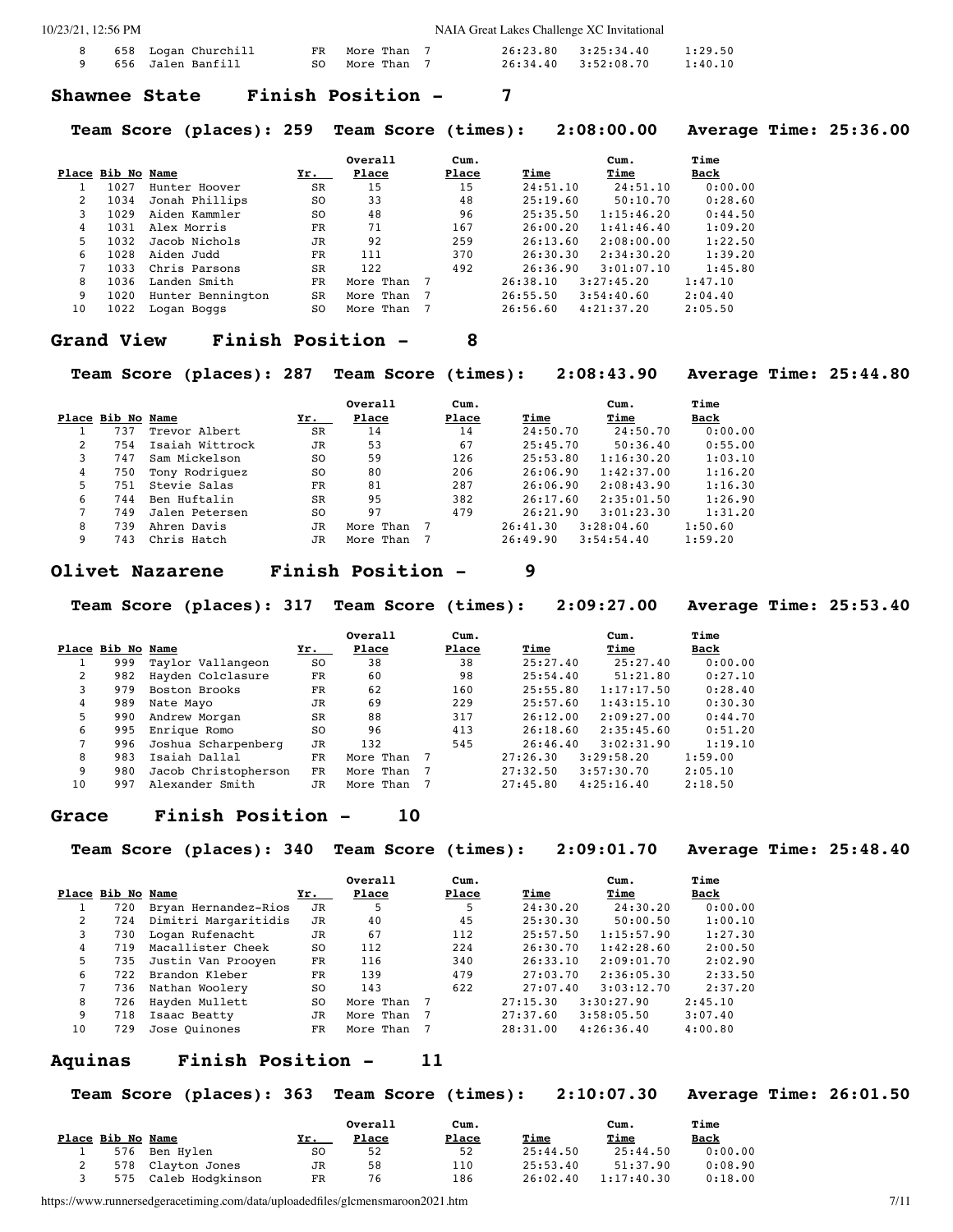| NAIA Great Lakes Challenge XC Invitational |
|--------------------------------------------|
|--------------------------------------------|

|  | 8 658 Logan Churchill    | FR More Than 7 |  | 26:23.80 3:25:34.40 | 1:29.50 |
|--|--------------------------|----------------|--|---------------------|---------|
|  | 9     656  Jalen Banfill | SO More Than 7 |  | 26:34.40 3:52:08.70 | 1:40.10 |

#### **Shawnee State Finish Position - 7**

**Team Score (places): 259 Team Score (times): 2:08:00.00 Average Time: 25:36.00**

|    |                   |                   |                | Overall   | Cum.  |          | Cum.       | Time    |
|----|-------------------|-------------------|----------------|-----------|-------|----------|------------|---------|
|    | Place Bib No Name |                   | Yr.            | Place     | Place | Time     | Time       | Back    |
|    | 1027              | Hunter Hoover     | SR             | 15        | 15    | 24:51.10 | 24:51.10   | 0:00.00 |
| 2  | 1034              | Jonah Phillips    | SO.            | 33        | 48    | 25:19.60 | 50:10.70   | 0:28.60 |
| 3  | 1029              | Aiden Kammler     | SO.            | 48        | 96    | 25:35.50 | 1:15:46.20 | 0:44.50 |
| 4  | 1031              | Alex Morris       | FR             | 71        | 167   | 26:00.20 | 1:41:46.40 | 1:09.20 |
| 5  | 1032              | Jacob Nichols     | <b>JR</b>      | 92        | 259   | 26:13.60 | 2:08:00.00 | 1:22.50 |
| 6  | 1028              | Aiden Judd        | FR             | 111       | 370   | 26:30.30 | 2:34:30.20 | 1:39.20 |
|    | 1033              | Chris Parsons     | <b>SR</b>      | 122       | 492   | 26:36.90 | 3:01:07.10 | 1:45.80 |
| 8  | 1036              | Landen Smith      | FR             | More Than |       | 26:38.10 | 3:27:45.20 | 1:47.10 |
| 9  | 1020              | Hunter Bennington | SR             | More Than |       | 26:55.50 | 3:54:40.60 | 2:04.40 |
| 10 | 1022              | Logan Boggs       | S <sub>O</sub> | More Than |       | 26:56.60 | 4:21:37.20 | 2:05.50 |

#### **Grand View Finish Position - 8**

**Team Score (places): 287 Team Score (times): 2:08:43.90 Average Time: 25:44.80**

|                |                   |                 |           | Overall   | Cum.  |          | Cum.       | Time        |
|----------------|-------------------|-----------------|-----------|-----------|-------|----------|------------|-------------|
|                | Place Bib No Name |                 | Yr.       | Place     | Place | Time     | Time       | <u>Back</u> |
|                | 737               | Trevor Albert   | <b>SR</b> | 14        | 14    | 24:50.70 | 24:50.70   | 0:00.00     |
| $\mathfrak{D}$ | 754               | Isaiah Wittrock | JR        | 53        | 67    | 25:45.70 | 50:36.40   | 0:55.00     |
| 3              | 747               | Sam Mickelson   | SO.       | 59        | 126   | 25:53.80 | 1:16:30.20 | 1:03.10     |
| 4              | 750               | Tony Rodriguez  | SO.       | 80        | 206   | 26:06.90 | 1:42:37.00 | 1:16.20     |
| 5              | 751               | Stevie Salas    | FR        | 81        | 287   | 26:06.90 | 2:08:43.90 | 1:16.30     |
| 6              | 744               | Ben Huftalin    | SR        | 95        | 382   | 26:17.60 | 2:35:01.50 | 1:26.90     |
|                | 749               | Jalen Petersen  | SO.       | 97        | 479   | 26:21.90 | 3:01:23.30 | 1:31.20     |
| 8              | 739               | Ahren Davis     | JR        | More Than |       | 26:41.30 | 3:28:04.60 | 1:50.60     |
| 9              | 743               | Chris Hatch     | JR        | More Than |       | 26:49.90 | 3:54:54.40 | 1:59.20     |

#### **Olivet Nazarene Finish Position - 9**

**Team Score (places): 317 Team Score (times): 2:09:27.00 Average Time: 25:53.40**

|    |                   |                      |           | Overall   | Cum.  |          | Cum.       | Time        |
|----|-------------------|----------------------|-----------|-----------|-------|----------|------------|-------------|
|    | Place Bib No Name |                      | Yr.       | Place     | Place | Time     | Time       | <b>Back</b> |
|    | 999               | Taylor Vallangeon    | SO.       | 38        | 38    | 25:27.40 | 25:27.40   | 0:00.00     |
| 2  | 982               | Hayden Colclasure    | FR        | 60        | 98    | 25:54.40 | 51:21.80   | 0:27.10     |
|    | 979               | Boston Brooks        | FR        | 62        | 160   | 25:55.80 | 1:17:17.50 | 0:28.40     |
| 4  | 989               | Nate Mayo            | JR        | 69        | 229   | 25:57.60 | 1:43:15.10 | 0:30.30     |
| 5  | 990               | Andrew Morgan        | SR        | 88        | 317   | 26:12.00 | 2:09:27.00 | 0:44.70     |
| 6  | 995               | Enrique Romo         | SO.       | 96        | 413   | 26:18.60 | 2:35:45.60 | 0:51.20     |
|    | 996               | Joshua Scharpenberg  | <b>JR</b> | 132       | 545   | 26:46.40 | 3:02:31.90 | 1:19.10     |
| 8  | 983               | Isaiah Dallal        | FR        | More Than |       | 27:26.30 | 3:29:58.20 | 1:59.00     |
| 9  | 980               | Jacob Christopherson | FR        | More Than |       | 27:32.50 | 3:57:30.70 | 2:05.10     |
| 10 | 997               | Alexander Smith      | JR        | More Than |       | 27:45.80 | 4:25:16.40 | 2:18.50     |

#### **Grace Finish Position - 10**

**Team Score (places): 340 Team Score (times): 2:09:01.70 Average Time: 25:48.40**

|    |                   |                      |     | Overall   | Cum.  |          | Cum.       | Time    |
|----|-------------------|----------------------|-----|-----------|-------|----------|------------|---------|
|    | Place Bib No Name |                      | Yr. | Place     | Place | Time     | Time       | Back    |
|    | 720               | Bryan Hernandez-Rios | JR  | 5         | 5     | 24:30.20 | 24:30.20   | 0:00.00 |
| 2  | 724               | Dimitri Margaritidis | JR  | 40        | 45    | 25:30.30 | 50:00.50   | 1:00.10 |
|    | 730               | Logan Rufenacht      | JR  | 67        | 112   | 25:57.50 | 1:15:57.90 | 1:27.30 |
| 4  | 719               | Macallister Cheek    | SO. | 112       | 224   | 26:30.70 | 1:42:28.60 | 2:00.50 |
| 5. | 735               | Justin Van Prooyen   | FR  | 116       | 340   | 26:33.10 | 2:09:01.70 | 2:02.90 |
| 6  | 722               | Brandon Kleber       | FR  | 139       | 479   | 27:03.70 | 2:36:05.30 | 2:33.50 |
|    | 736               | Nathan Woolery       | SO. | 143       | 622   | 27:07.40 | 3:03:12.70 | 2:37.20 |
| 8  | 726               | Hayden Mullett       | SO. | More Than |       | 27:15.30 | 3:30:27.90 | 2:45.10 |
| 9  | 718               | Isaac Beatty         | JR  | More Than |       | 27:37.60 | 3:58:05.50 | 3:07.40 |
| 10 | 729               | Jose Ouinones        | FR  | More Than |       | 28:31.00 | 4:26:36.40 | 4:00.80 |

#### **Aquinas Finish Position - 11**

**Team Score (places): 363 Team Score (times): 2:10:07.30 Average Time: 26:01.50**

|                   |                  |     | Overall | Cum.  |             | Cum.        | Time        |
|-------------------|------------------|-----|---------|-------|-------------|-------------|-------------|
| Place Bib No Name |                  | Yr. | Place   | Place | <u>Time</u> | <u>Time</u> | <b>Back</b> |
| 576               | Ben Hvlen        | S0  | 52      | 52    | 25:44.50    | 25:44.50    | 0:00.00     |
| 578               | Clayton Jones    | JR  | 58      | 110   | 25:53.40    | 51:37.90    | 0:08.90     |
| 575               | Caleb Hodgkinson | FR  | 76      | 186   | 26:02.40    | 1:17:40.30  | 0:18.00     |

https://www.runnersedgeracetiming.com/data/uploadedfiles/glcmensmaroon2021.htm 7/11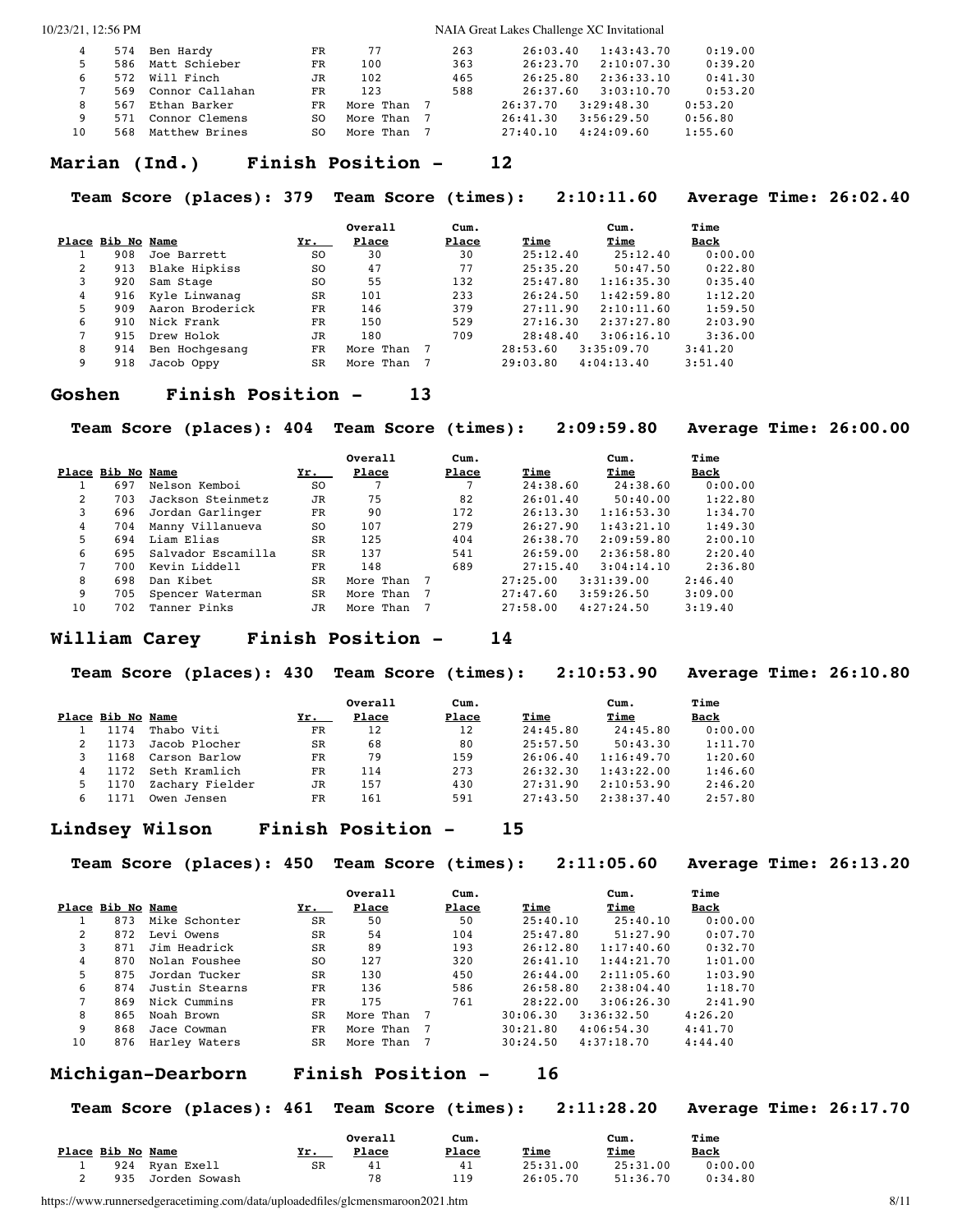| 6  | 586<br>572 | 574 Ben Hardy<br>Matt Schieber<br>Will Finch | FR<br>FR<br>JR | 77<br>100<br>102 | 263<br>363<br>465 | 26:03.40<br>26:23.70<br>26:25.80 | 1:43:43.70<br>2:10:07.30<br>2:36:33.10 | 0:19.00<br>0:39.20<br>0:41.30 |
|----|------------|----------------------------------------------|----------------|------------------|-------------------|----------------------------------|----------------------------------------|-------------------------------|
|    | 569        | Connor Callahan                              | FR             | 123              | 588               | 26:37.60                         | 3:03:10.70                             | 0:53.20                       |
| 8  | 567        | Ethan Barker                                 | FR             | More Than        |                   | 26:37.70                         | 3:29:48.30                             | 0:53.20                       |
| 9  | 571        | Connor Clemens                               | SO.            | More Than        |                   | 26:41.30                         | 3:56:29.50                             | 0:56.80                       |
| 10 | 568        | Matthew Brines                               | SO.            | More Than        |                   | 27:40.10                         | 4:24:09.60                             | 1:55.60                       |

#### **Marian (Ind.) Finish Position - 12**

#### **Team Score (places): 379 Team Score (times): 2:10:11.60 Average Time: 26:02.40**

|   |                   |                 |           | Overall   | Cum.  |          | Cum.       | Time    |
|---|-------------------|-----------------|-----------|-----------|-------|----------|------------|---------|
|   | Place Bib No Name |                 | Yr.       | Place     | Place | Time     | Time       | Back    |
|   | 908               | Joe Barrett     | SO.       | 30        | 30    | 25:12.40 | 25:12.40   | 0:00.00 |
| 2 | 913               | Blake Hipkiss   | SO.       | 47        | 77    | 25:35.20 | 50:47.50   | 0:22.80 |
| 3 | 920               | Sam Stage       | SO.       | 55        | 132   | 25:47.80 | 1:16:35.30 | 0:35.40 |
| 4 | 916               | Kyle Linwanag   | <b>SR</b> | 101       | 233   | 26:24.50 | 1:42:59.80 | 1:12.20 |
| 5 | 909               | Aaron Broderick | <b>FR</b> | 146       | 379   | 27:11.90 | 2:10:11.60 | 1:59.50 |
| 6 | 910               | Nick Frank      | FR        | 150       | 529   | 27:16.30 | 2:37:27.80 | 2:03.90 |
|   | 915               | Drew Holok      | JR        | 180       | 709   | 28:48.40 | 3:06:16.10 | 3:36.00 |
| 8 | 914               | Ben Hochgesang  | FR        | More Than |       | 28:53.60 | 3:35:09.70 | 3:41.20 |
| 9 | 918               | Jacob Oppy      | <b>SR</b> | More Than |       | 29:03.80 | 4:04:13.40 | 3:51.40 |

#### **Goshen Finish Position - 13**

**Team Score (places): 404 Team Score (times): 2:09:59.80 Average Time: 26:00.00**

|    |                   |                    |           | Overall   | Cum.  |          | Cum.       | Time    |
|----|-------------------|--------------------|-----------|-----------|-------|----------|------------|---------|
|    | Place Bib No Name |                    | Yr.       | Place     | Place | Time     | Time       | Back    |
|    | 697               | Nelson Kemboi      | SO.       |           |       | 24:38.60 | 24:38.60   | 0:00.00 |
| 2  | 703               | Jackson Steinmetz  | JR        | 75        | 82    | 26:01.40 | 50:40.00   | 1:22.80 |
| 3  | 696               | Jordan Garlinger   | FR.       | 90        | 172   | 26:13.30 | 1:16:53.30 | 1:34.70 |
| 4  | 704               | Manny Villanueva   | SO.       | 107       | 279   | 26:27.90 | 1:43:21.10 | 1:49.30 |
| 5  | 694               | Liam Elias         | <b>SR</b> | 125       | 404   | 26:38.70 | 2:09:59.80 | 2:00.10 |
| 6  | 695               | Salvador Escamilla | SR        | 137       | 541   | 26:59.00 | 2:36:58.80 | 2:20.40 |
|    | 700               | Kevin Liddell      | FR        | 148       | 689   | 27:15.40 | 3:04:14.10 | 2:36.80 |
| 8  | 698               | Dan Kibet          | SR        | More Than |       | 27:25.00 | 3:31:39.00 | 2:46.40 |
| 9  | 705               | Spencer Waterman   | SR        | More Than |       | 27:47.60 | 3:59:26.50 | 3:09.00 |
| 10 | 702               | Tanner Pinks       | JR        | More Than |       | 27:58.00 | 4:27:24.50 | 3:19.40 |

#### **William Carey Finish Position - 14**

**Team Score (places): 430 Team Score (times): 2:10:53.90 Average Time: 26:10.80**

| Place Bib No Name |                 | Yr.       | Overall<br>Place | Cum.<br>Place | Time     | Cum.<br>Time | Time<br>Back |
|-------------------|-----------------|-----------|------------------|---------------|----------|--------------|--------------|
| 1174              | Thabo Viti      | <b>FR</b> | 12               | 12            | 24:45.80 | 24:45.80     | 0:00.00      |
| 1173              | Jacob Plocher   | SR        | 68               | 80            | 25:57.50 | 50:43.30     | 1:11.70      |
| 1168              | Carson Barlow   | <b>FR</b> | 79               | 159           | 26:06.40 | 1:16:49.70   | 1:20.60      |
| 1172              | Seth Kramlich   | FR        | 114              | 273           | 26:32.30 | 1:43:22.00   | 1:46.60      |
| 1170              | Zachary Fielder | JR        | 157              | 430           | 27:31.90 | 2:10:53.90   | 2:46.20      |
| 1171              | Owen Jensen     | FR        | 161              | 591           | 27:43.50 | 2:38:37.40   | 2:57.80      |

#### **Lindsey Wilson Finish Position - 15**

**Team Score (places): 450 Team Score (times): 2:11:05.60 Average Time: 26:13.20**

|    |                   |                |           | Overall   | Cum.  |          | Cum.       | Time        |
|----|-------------------|----------------|-----------|-----------|-------|----------|------------|-------------|
|    | Place Bib No Name |                | Yr.       | Place     | Place | Time     | Time       | <u>Back</u> |
|    | 873               | Mike Schonter  | <b>SR</b> | 50        | 50    | 25:40.10 | 25:40.10   | 0:00.00     |
| 2  | 872               | Levi Owens     | <b>SR</b> | 54        | 104   | 25:47.80 | 51:27.90   | 0:07.70     |
| 3  | 871               | Jim Headrick   | <b>SR</b> | 89        | 193   | 26:12.80 | 1:17:40.60 | 0:32.70     |
| 4  | 870               | Nolan Foushee  | SO.       | 127       | 320   | 26:41.10 | 1:44:21.70 | 1:01.00     |
| 5. | 875               | Jordan Tucker  | SR        | 130       | 450   | 26:44.00 | 2:11:05.60 | 1:03.90     |
| 6  | 874               | Justin Stearns | FR        | 136       | 586   | 26:58.80 | 2:38:04.40 | 1:18.70     |
|    | 869               | Nick Cummins   | <b>FR</b> | 175       | 761   | 28:22.00 | 3:06:26.30 | 2:41.90     |
| 8  | 865               | Noah Brown     | <b>SR</b> | More Than |       | 30:06.30 | 3:36:32.50 | 4:26.20     |
| 9  | 868               | Jace Cowman    | FR.       | More Than |       | 30:21.80 | 4:06:54.30 | 4:41.70     |
| 10 | 876               | Harley Waters  | SR        | More Than |       | 30:24.50 | 4:37:18.70 | 4:44.40     |

#### **Michigan-Dearborn Finish Position - 16**

**Team Score (places): 461 Team Score (times): 2:11:28.20 Average Time: 26:17.70**

|                   |               |     | Overall | Cum.  |             | Cum.     | Time        |
|-------------------|---------------|-----|---------|-------|-------------|----------|-------------|
| Place Bib No Name |               | Yr. | Place   | Place | <u>Time</u> | Time     | <u>Back</u> |
| 924               | Ryan Exell    | SR  | 41      | 41    | 25:31.00    | 25:31.00 | 0:00.00     |
| 935               | Jorden Sowash |     | 78      | 19    | 26:05.70    | 51:36.70 | 0:34.80     |

https://www.runnersedgeracetiming.com/data/uploadedfiles/glcmensmaroon2021.htm 8/11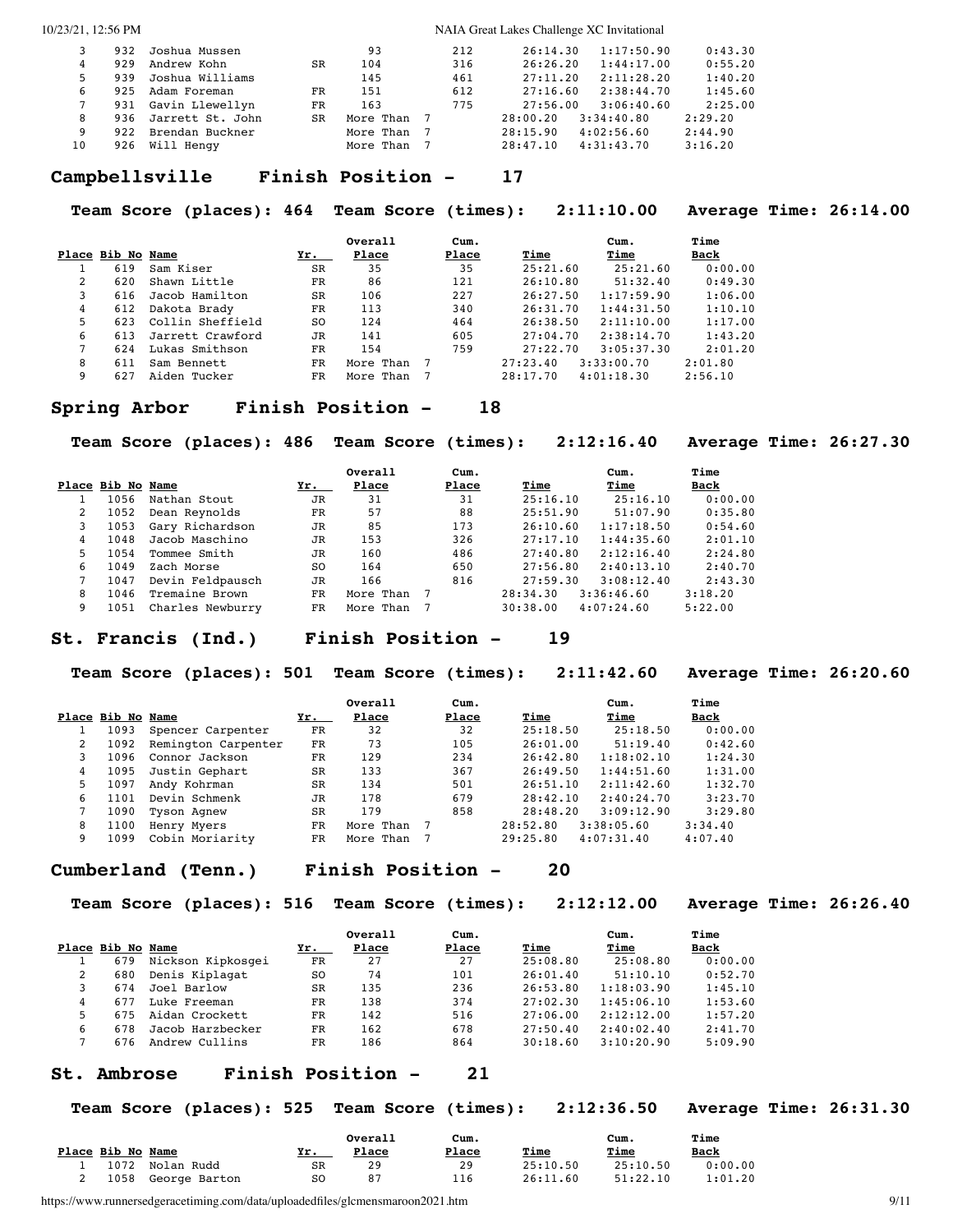|    | 932 | Joshua Mussen    |     | 93        | 212 | 26:14.30 | 1:17:50.90 | 0:43.30 |
|----|-----|------------------|-----|-----------|-----|----------|------------|---------|
|    | 929 | Andrew Kohn      | SR  | 104       | 316 | 26:26.20 | 1:44:17.00 | 0:55.20 |
|    | 939 | Joshua Williams  |     | 145       | 461 | 27:11.20 | 2:11:28.20 | 1:40.20 |
| 6  | 925 | Adam Foreman     | FR  | 151       | 612 | 27:16.60 | 2:38:44.70 | 1:45.60 |
|    | 931 | Gavin Llewellyn  | FR. | 163       | 775 | 27:56.00 | 3:06:40.60 | 2:25.00 |
| 8  | 936 | Jarrett St. John | SR  | More Than |     | 28:00.20 | 3:34:40.80 | 2:29.20 |
| 9  | 922 | Brendan Buckner  |     | More Than |     | 28:15.90 | 4:02:56.60 | 2:44.90 |
| 10 | 926 | Will Hengy       |     | More Than |     | 28:47.10 | 4:31:43.70 | 3:16.20 |

#### **Campbellsville Finish Position - 17**

**Team Score (places): 464 Team Score (times): 2:11:10.00 Average Time: 26:14.00**

|               |                   |                  |           | Overall   | Cum.  |          | Cum.       | Time        |
|---------------|-------------------|------------------|-----------|-----------|-------|----------|------------|-------------|
|               | Place Bib No Name |                  | Yr.       | Place     | Place | Time     | Time       | <u>Back</u> |
|               | 619               | Sam Kiser        | <b>SR</b> | 35        | 35    | 25:21.60 | 25:21.60   | 0:00.00     |
| $\mathcal{L}$ | 620               | Shawn Little     | FR.       | 86        | 121   | 26:10.80 | 51:32.40   | 0:49.30     |
|               | 616               | Jacob Hamilton   | SR        | 106       | 227   | 26:27.50 | 1:17:59.90 | 1:06.00     |
| 4             | 612               | Dakota Brady     | FR        | 113       | 340   | 26:31.70 | 1:44:31.50 | 1:10.10     |
| 5             | 623               | Collin Sheffield | SO.       | 124       | 464   | 26:38.50 | 2:11:10.00 | 1:17.00     |
| 6             | 613               | Jarrett Crawford | <b>JR</b> | 141       | 605   | 27:04.70 | 2:38:14.70 | 1:43.20     |
|               | 624               | Lukas Smithson   | FR        | 154       | 759   | 27:22.70 | 3:05:37.30 | 2:01.20     |
| 8             | 611               | Sam Bennett      | FR        | More Than |       | 27:23.40 | 3:33:00.70 | 2:01.80     |
| 9             | 627               | Aiden Tucker     | FR        | More Than |       | 28:17.70 | 4:01:18.30 | 2:56.10     |

#### **Spring Arbor Finish Position - 18**

**Team Score (places): 486 Team Score (times): 2:12:16.40 Average Time: 26:27.30**

|   |                   |                  |     | Overall   | Cum.  |          | Cum.       | Time        |
|---|-------------------|------------------|-----|-----------|-------|----------|------------|-------------|
|   | Place Bib No Name |                  | Yr. | Place     | Place | Time     | Time       | <u>Back</u> |
|   | 1056              | Nathan Stout     | JR  | 31        | 31    | 25:16.10 | 25:16.10   | 0:00.00     |
|   | 1052              | Dean Reynolds    | FR  | 57        | 88    | 25:51.90 | 51:07.90   | 0:35.80     |
|   | 1053              | Gary Richardson  | JR  | 85        | 173   | 26:10.60 | 1:17:18.50 | 0:54.60     |
|   | 1048              | Jacob Maschino   | JR  | 153       | 326   | 27:17.10 | 1:44:35.60 | 2:01.10     |
| 5 | 1054              | Tommee Smith     | JR  | 160       | 486   | 27:40.80 | 2:12:16.40 | 2:24.80     |
| 6 | 1049              | Zach Morse       | SO. | 164       | 650   | 27:56.80 | 2:40:13.10 | 2:40.70     |
|   | 1047              | Devin Feldpausch | JR  | 166       | 816   | 27:59.30 | 3:08:12.40 | 2:43.30     |
| 8 | 1046              | Tremaine Brown   | FR  | More Than |       | 28:34.30 | 3:36:46.60 | 3:18.20     |
| 9 | 1051              | Charles Newburry | FR. | More Than |       | 30:38.00 | 4:07:24.60 | 5:22.00     |

#### **St. Francis (Ind.) Finish Position - 19**

**Team Score (places): 501 Team Score (times): 2:11:42.60 Average Time: 26:20.60**

|   |                   |                     |           | Overall   | Cum.  |          | Cum.       | Time        |
|---|-------------------|---------------------|-----------|-----------|-------|----------|------------|-------------|
|   | Place Bib No Name |                     | Yr.       | Place     | Place | Time     | Time       | <u>Back</u> |
|   | 1093              | Spencer Carpenter   | FR        | 32        | 32    | 25:18.50 | 25:18.50   | 0:00.00     |
|   | 1092              | Remington Carpenter | FR        | 73        | 105   | 26:01.00 | 51:19.40   | 0:42.60     |
| 3 | 1096              | Connor Jackson      | FR        | 129       | 234   | 26:42.80 | 1:18:02.10 | 1:24.30     |
| 4 | 1095              | Justin Gephart      | <b>SR</b> | 133       | 367   | 26:49.50 | 1:44:51.60 | 1:31.00     |
| 5 | 1097              | Andy Kohrman        | <b>SR</b> | 134       | 501   | 26:51.10 | 2:11:42.60 | 1:32.70     |
| 6 | 1101              | Devin Schmenk       | JR        | 178       | 679   | 28:42.10 | 2:40:24.70 | 3:23.70     |
|   | 1090              | Tyson Agnew         | <b>SR</b> | 179       | 858   | 28:48.20 | 3:09:12.90 | 3:29.80     |
| 8 | 1100              | Henry Myers         | FR        | More Than |       | 28:52.80 | 3:38:05.60 | 3:34.40     |
| 9 | 1099              | Cobin Moriarity     | FR        | More Than |       | 29:25.80 | 4:07:31.40 | 4:07.40     |

#### **Cumberland (Tenn.) Finish Position - 20**

**Team Score (places): 516 Team Score (times): 2:12:12.00 Average Time: 26:26.40**

|   |                   |                   |     | Overall | Cum.  |          | Cum.       | Time    |
|---|-------------------|-------------------|-----|---------|-------|----------|------------|---------|
|   | Place Bib No Name |                   | Yr. | Place   | Place | Time     | Time       | Back    |
|   | 679               | Nickson Kipkosgei | FR  | 27      | 27    | 25:08.80 | 25:08.80   | 0:00.00 |
|   | 680               | Denis Kiplagat    | SO. | 74      | 101   | 26:01.40 | 51:10.10   | 0:52.70 |
|   | 674               | Joel Barlow       | SR  | 135     | 236   | 26:53.80 | 1:18:03.90 | 1:45.10 |
|   | 677               | Luke Freeman      | FR  | 138     | 374   | 27:02.30 | 1:45:06.10 | 1:53.60 |
|   | 675               | Aidan Crockett    | FR  | 142     | 516   | 27:06.00 | 2:12:12.00 | 1:57.20 |
| 6 | 678               | Jacob Harzbecker  | FR  | 162     | 678   | 27:50.40 | 2:40:02.40 | 2:41.70 |
|   | 676               | Andrew Cullins    | FR  | 186     | 864   | 30:18.60 | 3:10:20.90 | 5:09.90 |

### **St. Ambrose Finish Position - 21**

**Team Score (places): 525 Team Score (times): 2:12:36.50 Average Time: 26:31.30**

|                   |               |     | Overall | Cum.  |             | Cum.        | Time        |
|-------------------|---------------|-----|---------|-------|-------------|-------------|-------------|
| Place Bib No Name |               | Yr. | Place   | Place | <u>Time</u> | <u>Time</u> | <u>Back</u> |
| 1072              | Nolan Rudd    | SR  | 29      | 29    | 25:10.50    | 25:10.50    | 0:00.00     |
| 1058              | George Barton | S0  | 87      | 116   | 26:11.60    | 51:22.10    | 1:01.20     |

https://www.runnersedgeracetiming.com/data/uploadedfiles/glcmensmaroon2021.htm 9/11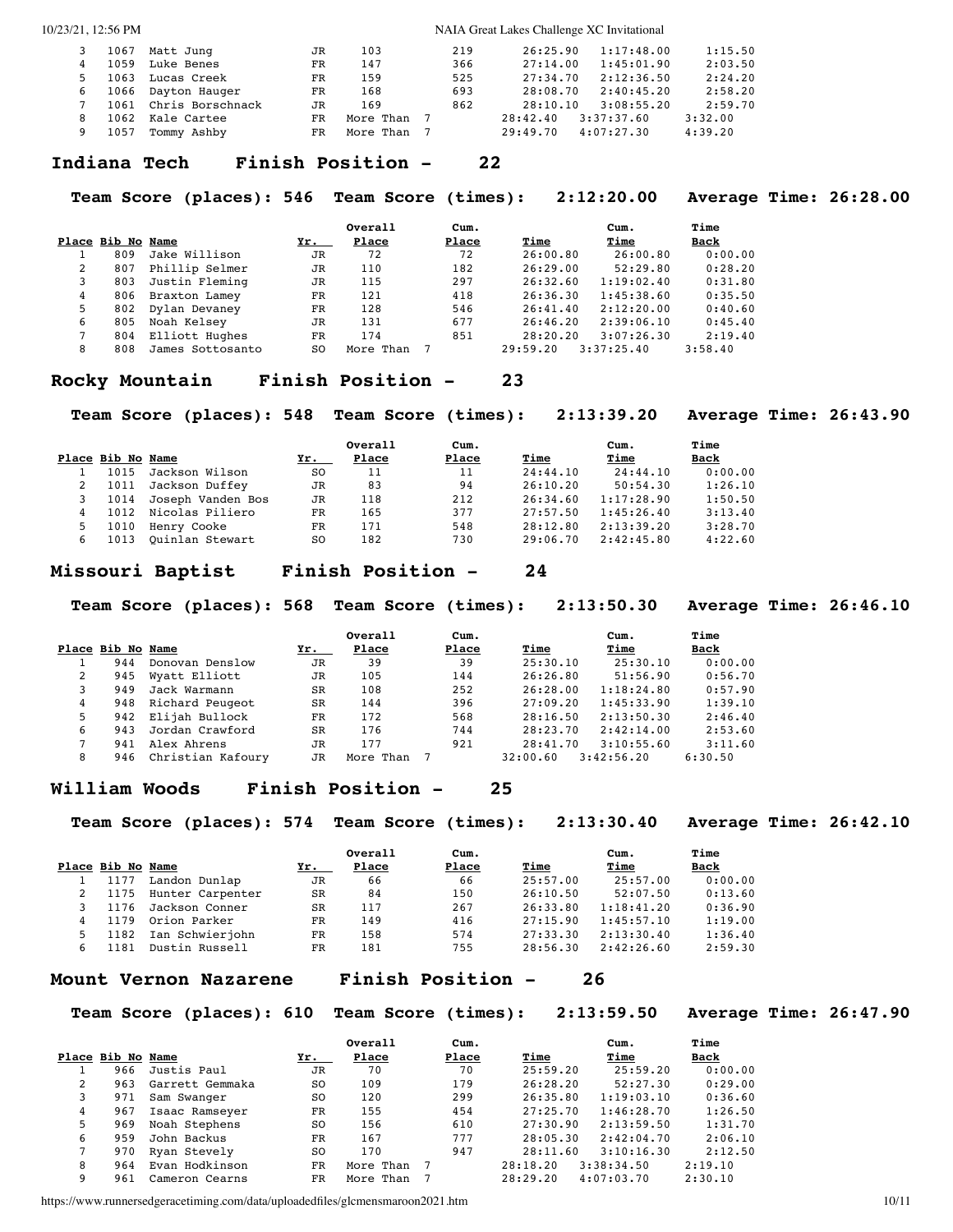| 5. | 1067<br>1059<br>1063<br>1066<br>1061<br>1062 | Matt Junq<br>Luke Benes<br>Lucas Creek<br>Dayton Hauger<br>Chris Borschnack<br>Kale Cartee | JR<br>FR.<br><b>FR</b><br>FR<br>JR<br>FR | 103<br>147<br>159<br>168<br>169<br>More Than 7 | 219<br>366<br>525<br>693<br>862 | 26:25.90<br>27:14.00<br>27:34.70<br>28:08.70<br>28:10.10<br>28:42.40 | 1:17:48.00<br>1:45:01.90<br>2:12:36.50<br>2:40:45.20<br>3:08:55.20<br>3:37:37.60 | 1:15.50<br>2:03.50<br>2:24.20<br>2:58.20<br>2:59.70<br>3:32.00 |
|----|----------------------------------------------|--------------------------------------------------------------------------------------------|------------------------------------------|------------------------------------------------|---------------------------------|----------------------------------------------------------------------|----------------------------------------------------------------------------------|----------------------------------------------------------------|
|    |                                              |                                                                                            |                                          |                                                |                                 |                                                                      |                                                                                  |                                                                |
|    | 1057                                         | Tommy Ashby                                                                                | FR.                                      | More Than                                      |                                 | 29:49.70                                                             | 4:07:27.30                                                                       | 4:39.20                                                        |

#### **Indiana Tech Finish Position - 22**

**Team Score (places): 546 Team Score (times): 2:12:20.00 Average Time: 26:28.00**

|   |                   |                  |           | Overall   | Cum.  |          | Cum.       | Time    |
|---|-------------------|------------------|-----------|-----------|-------|----------|------------|---------|
|   | Place Bib No Name |                  | Yr.       | Place     | Place | Time     | Time       | Back    |
|   | 809               | Jake Willison    | <b>JR</b> | 72        | 72    | 26:00.80 | 26:00.80   | 0:00.00 |
| 2 | 807               | Phillip Selmer   | JR        | 110       | 182   | 26:29.00 | 52:29.80   | 0:28.20 |
| 3 | 803               | Justin Fleming   | JR        | 115       | 297   | 26:32.60 | 1:19:02.40 | 0:31.80 |
| 4 | 806               | Braxton Lamey    | FR        | 121       | 418   | 26:36.30 | 1:45:38.60 | 0:35.50 |
| 5 | 802               | Dylan Devaney    | FR        | 128       | 546   | 26:41.40 | 2:12:20.00 | 0:40.60 |
| 6 | 805               | Noah Kelsey      | JR        | 131       | 677   | 26:46.20 | 2:39:06.10 | 0:45.40 |
|   | 804               | Elliott Hughes   | FR        | 174       | 851   | 28:20.20 | 3:07:26.30 | 2:19.40 |
| 8 | 808               | James Sottosanto | S0        | More Than |       | 29:59.20 | 3:37:25.40 | 3:58.40 |

#### **Rocky Mountain Finish Position - 23**

**Team Score (places): 548 Team Score (times): 2:13:39.20 Average Time: 26:43.90**

|                   |                   |                | Overall | Cum.  |          | Cum.       | Time    |
|-------------------|-------------------|----------------|---------|-------|----------|------------|---------|
| Place Bib No Name |                   | Yr.            | Place   | Place | Time     | Time       | Back    |
| 1015              | Jackson Wilson    | SO.            | 11      | 11    | 24:44.10 | 24:44.10   | 0:00.00 |
| 1011              | Jackson Duffey    | JR             | 83      | 94    | 26:10.20 | 50:54.30   | 1:26.10 |
| 1014              | Joseph Vanden Bos | JR             | 118     | 212   | 26:34.60 | 1:17:28.90 | 1:50.50 |
| 1012              | Nicolas Piliero   | FR             | 165     | 377   | 27:57.50 | 1:45:26.40 | 3:13.40 |
| 1010              | Henry Cooke       | FR             | 171     | 548   | 28:12.80 | 2:13:39.20 | 3:28.70 |
| 1013              | Ouinlan Stewart   | S <sub>O</sub> | 182     | 730   | 29:06.70 | 2:42:45.80 | 4:22.60 |

#### **Missouri Baptist Finish Position - 24**

**Team Score (places): 568 Team Score (times): 2:13:50.30 Average Time: 26:46.10**

|                   |     |                   |           | Overall   | Cum.  |          | Cum.       | Time    |
|-------------------|-----|-------------------|-----------|-----------|-------|----------|------------|---------|
| Place Bib No Name |     |                   | Yr.       | Place     | Place | Time     | Time       | Back    |
|                   | 944 | Donovan Denslow   | JR        | 39        | 39    | 25:30.10 | 25:30.10   | 0:00.00 |
| 2                 | 945 | Wyatt Elliott     | JR        | 105       | 144   | 26:26.80 | 51:56.90   | 0:56.70 |
| 3                 | 949 | Jack Warmann      | <b>SR</b> | 108       | 252   | 26:28.00 | 1:18:24.80 | 0:57.90 |
| 4                 | 948 | Richard Peugeot   | <b>SR</b> | 144       | 396   | 27:09.20 | 1:45:33.90 | 1:39.10 |
| 5.                | 942 | Elijah Bullock    | FR        | 172       | 568   | 28:16.50 | 2:13:50.30 | 2:46.40 |
| 6                 | 943 | Jordan Crawford   | <b>SR</b> | 176       | 744   | 28:23.70 | 2:42:14.00 | 2:53.60 |
|                   | 941 | Alex Ahrens       | JR        | 177       | 921   | 28:41.70 | 3:10:55.60 | 3:11.60 |
| 8                 | 946 | Christian Kafoury | JR        | More Than |       | 32:00.60 | 3:42:56.20 | 6:30.50 |

#### **William Woods Finish Position - 25**

**Team Score (places): 574 Team Score (times): 2:13:30.40 Average Time: 26:42.10**

|   | Place Bib No Name |                  | Yr.       | Overall<br>Place | Cum.<br>Place | Time     | Cum.<br>Time | Time<br><b>Back</b> |
|---|-------------------|------------------|-----------|------------------|---------------|----------|--------------|---------------------|
|   | 1177              | Landon Dunlap    | JR        | 66               | 66            | 25:57.00 | 25:57.00     | 0:00.00             |
|   | 1175              | Hunter Carpenter | SR        | 84               | 150           | 26:10.50 | 52:07.50     | 0:13.60             |
|   | 1176              | Jackson Conner   | <b>SR</b> | 117              | 267           | 26:33.80 | 1:18:41.20   | 0:36.90             |
| 4 | 1179              | Orion Parker     | FR        | 149              | 416           | 27:15.90 | 1:45:57.10   | 1:19.00             |
| 5 | 1182              | Ian Schwierjohn  | FR        | 158              | 574           | 27:33.30 | 2:13:30.40   | 1:36.40             |
| 6 | 1181              | Dustin Russell   | FR        | 181              | 755           | 28:56.30 | 2:42:26.60   | 2:59.30             |

**Mount Vernon Nazarene Finish Position - 26**

#### **Team Score (places): 610 Team Score (times): 2:13:59.50 Average Time: 26:47.90**

|   |                   |                 |           | Overall   | Cum.  |          | Cum.       | Time    |
|---|-------------------|-----------------|-----------|-----------|-------|----------|------------|---------|
|   | Place Bib No Name |                 | Yr.       | Place     | Place | Time     | Time       | Back    |
|   | 966               | Justis Paul     | JR        | 70        | 70    | 25:59.20 | 25:59.20   | 0:00.00 |
| 2 | 963               | Garrett Gemmaka | SO.       | 109       | 179   | 26:28.20 | 52:27.30   | 0:29.00 |
| 3 | 971               | Sam Swanger     | SO.       | 120       | 299   | 26:35.80 | 1:19:03.10 | 0:36.60 |
| 4 | 967               | Isaac Ramseyer  | FR        | 155       | 454   | 27:25.70 | 1:46:28.70 | 1:26.50 |
| 5 | 969               | Noah Stephens   | SO.       | 156       | 610   | 27:30.90 | 2:13:59.50 | 1:31.70 |
| 6 | 959               | John Backus     | <b>FR</b> | 167       | 777   | 28:05.30 | 2:42:04.70 | 2:06.10 |
|   | 970               | Ryan Stevely    | SO.       | 170       | 947   | 28:11.60 | 3:10:16.30 | 2:12.50 |
| 8 | 964               | Evan Hodkinson  | FR        | More Than |       | 28:18.20 | 3:38:34.50 | 2:19.10 |
| 9 | 961               | Cameron Cearns  | FR        | More Than |       | 28:29.20 | 4:07:03.70 | 2:30.10 |